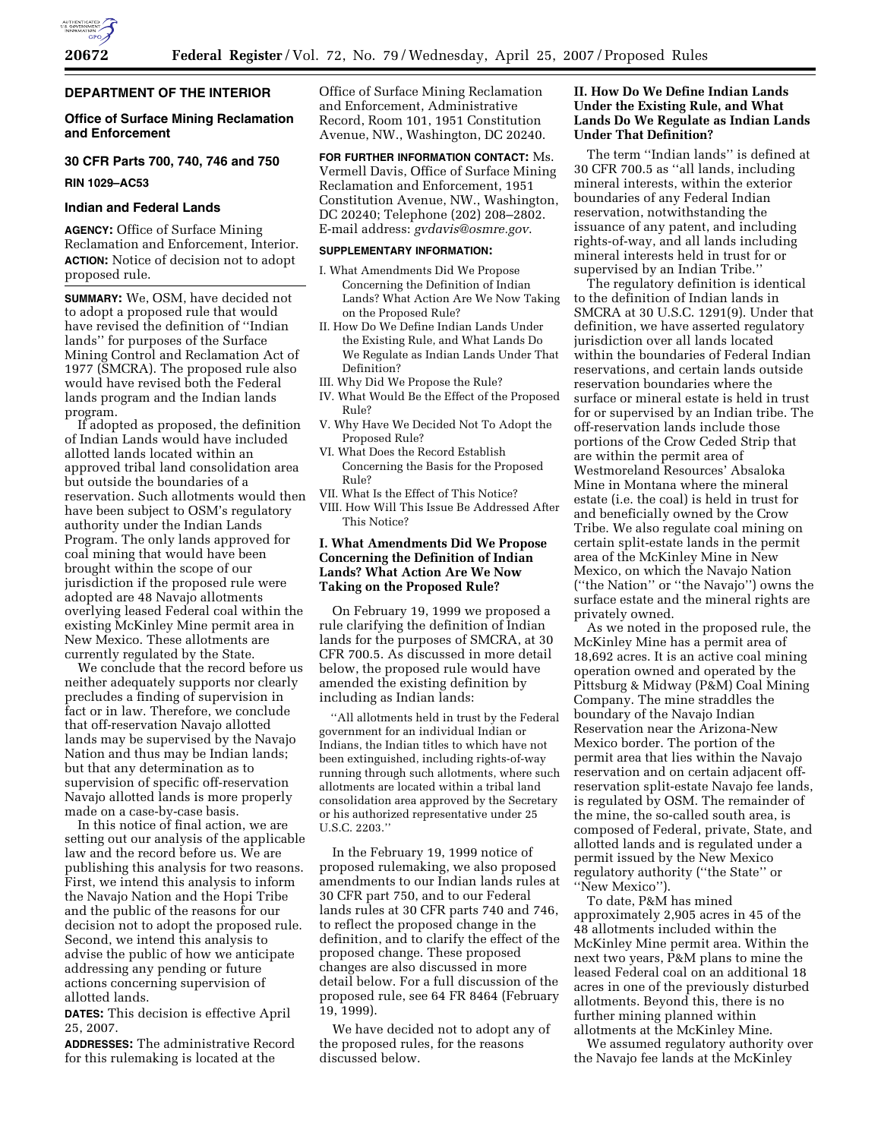### **DEPARTMENT OF THE INTERIOR**

# **Office of Surface Mining Reclamation and Enforcement**

# **30 CFR Parts 700, 740, 746 and 750**

**RIN 1029–AC53** 

#### **Indian and Federal Lands**

**AGENCY:** Office of Surface Mining Reclamation and Enforcement, Interior. **ACTION:** Notice of decision not to adopt proposed rule.

**SUMMARY:** We, OSM, have decided not to adopt a proposed rule that would have revised the definition of ''Indian lands'' for purposes of the Surface Mining Control and Reclamation Act of 1977 (SMCRA). The proposed rule also would have revised both the Federal lands program and the Indian lands program.

If adopted as proposed, the definition of Indian Lands would have included allotted lands located within an approved tribal land consolidation area but outside the boundaries of a reservation. Such allotments would then have been subject to OSM's regulatory authority under the Indian Lands Program. The only lands approved for coal mining that would have been brought within the scope of our jurisdiction if the proposed rule were adopted are 48 Navajo allotments overlying leased Federal coal within the existing McKinley Mine permit area in New Mexico. These allotments are currently regulated by the State.

We conclude that the record before us neither adequately supports nor clearly precludes a finding of supervision in fact or in law. Therefore, we conclude that off-reservation Navajo allotted lands may be supervised by the Navajo Nation and thus may be Indian lands; but that any determination as to supervision of specific off-reservation Navajo allotted lands is more properly made on a case-by-case basis.

In this notice of final action, we are setting out our analysis of the applicable law and the record before us. We are publishing this analysis for two reasons. First, we intend this analysis to inform the Navajo Nation and the Hopi Tribe and the public of the reasons for our decision not to adopt the proposed rule. Second, we intend this analysis to advise the public of how we anticipate addressing any pending or future actions concerning supervision of allotted lands.

**DATES:** This decision is effective April 25, 2007.

**ADDRESSES:** The administrative Record for this rulemaking is located at the

Office of Surface Mining Reclamation and Enforcement, Administrative Record, Room 101, 1951 Constitution Avenue, NW., Washington, DC 20240.

**FOR FURTHER INFORMATION CONTACT:** Ms. Vermell Davis, Office of Surface Mining Reclamation and Enforcement, 1951 Constitution Avenue, NW., Washington, DC 20240; Telephone (202) 208–2802. E-mail address: *gvdavis@osmre.gov*.

### **SUPPLEMENTARY INFORMATION:**

- I. What Amendments Did We Propose Concerning the Definition of Indian Lands? What Action Are We Now Taking on the Proposed Rule?
- II. How Do We Define Indian Lands Under the Existing Rule, and What Lands Do We Regulate as Indian Lands Under That Definition?
- III. Why Did We Propose the Rule?
- IV. What Would Be the Effect of the Proposed Rule?
- V. Why Have We Decided Not To Adopt the Proposed Rule?
- VI. What Does the Record Establish Concerning the Basis for the Proposed Rule?
- VII. What Is the Effect of This Notice?
- VIII. How Will This Issue Be Addressed After This Notice?

# **I. What Amendments Did We Propose Concerning the Definition of Indian Lands? What Action Are We Now Taking on the Proposed Rule?**

On February 19, 1999 we proposed a rule clarifying the definition of Indian lands for the purposes of SMCRA, at 30 CFR 700.5. As discussed in more detail below, the proposed rule would have amended the existing definition by including as Indian lands:

''All allotments held in trust by the Federal government for an individual Indian or Indians, the Indian titles to which have not been extinguished, including rights-of-way running through such allotments, where such allotments are located within a tribal land consolidation area approved by the Secretary or his authorized representative under 25 U.S.C. 2203.''

In the February 19, 1999 notice of proposed rulemaking, we also proposed amendments to our Indian lands rules at 30 CFR part 750, and to our Federal lands rules at 30 CFR parts 740 and 746, to reflect the proposed change in the definition, and to clarify the effect of the proposed change. These proposed changes are also discussed in more detail below. For a full discussion of the proposed rule, see 64 FR 8464 (February 19, 1999).

We have decided not to adopt any of the proposed rules, for the reasons discussed below.

### **II. How Do We Define Indian Lands Under the Existing Rule, and What Lands Do We Regulate as Indian Lands Under That Definition?**

The term ''Indian lands'' is defined at 30 CFR 700.5 as ''all lands, including mineral interests, within the exterior boundaries of any Federal Indian reservation, notwithstanding the issuance of any patent, and including rights-of-way, and all lands including mineral interests held in trust for or supervised by an Indian Tribe.''

The regulatory definition is identical to the definition of Indian lands in SMCRA at 30 U.S.C. 1291(9). Under that definition, we have asserted regulatory jurisdiction over all lands located within the boundaries of Federal Indian reservations, and certain lands outside reservation boundaries where the surface or mineral estate is held in trust for or supervised by an Indian tribe. The off-reservation lands include those portions of the Crow Ceded Strip that are within the permit area of Westmoreland Resources' Absaloka Mine in Montana where the mineral estate (i.e. the coal) is held in trust for and beneficially owned by the Crow Tribe. We also regulate coal mining on certain split-estate lands in the permit area of the McKinley Mine in New Mexico, on which the Navajo Nation (''the Nation'' or ''the Navajo'') owns the surface estate and the mineral rights are privately owned.

As we noted in the proposed rule, the McKinley Mine has a permit area of 18,692 acres. It is an active coal mining operation owned and operated by the Pittsburg & Midway (P&M) Coal Mining Company. The mine straddles the boundary of the Navajo Indian Reservation near the Arizona-New Mexico border. The portion of the permit area that lies within the Navajo reservation and on certain adjacent offreservation split-estate Navajo fee lands, is regulated by OSM. The remainder of the mine, the so-called south area, is composed of Federal, private, State, and allotted lands and is regulated under a permit issued by the New Mexico regulatory authority (''the State'' or ''New Mexico'').

To date, P&M has mined approximately 2,905 acres in 45 of the 48 allotments included within the McKinley Mine permit area. Within the next two years, P&M plans to mine the leased Federal coal on an additional 18 acres in one of the previously disturbed allotments. Beyond this, there is no further mining planned within allotments at the McKinley Mine.

We assumed regulatory authority over the Navajo fee lands at the McKinley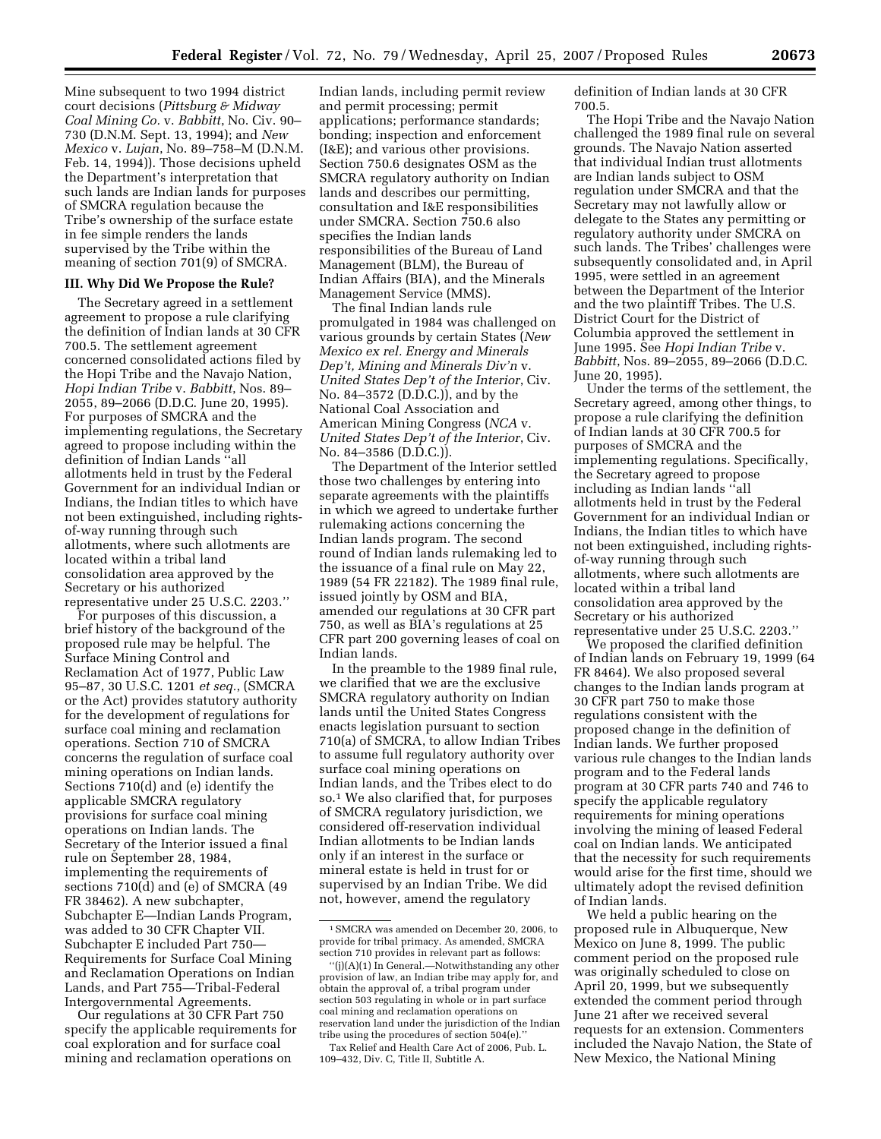Mine subsequent to two 1994 district court decisions (*Pittsburg & Midway Coal Mining Co.* v. *Babbitt*, No. Civ. 90– 730 (D.N.M. Sept. 13, 1994); and *New Mexico* v. *Lujan*, No. 89–758–M (D.N.M. Feb. 14, 1994)). Those decisions upheld the Department's interpretation that such lands are Indian lands for purposes of SMCRA regulation because the Tribe's ownership of the surface estate in fee simple renders the lands supervised by the Tribe within the meaning of section 701(9) of SMCRA.

### **III. Why Did We Propose the Rule?**

The Secretary agreed in a settlement agreement to propose a rule clarifying the definition of Indian lands at 30 CFR 700.5. The settlement agreement concerned consolidated actions filed by the Hopi Tribe and the Navajo Nation, *Hopi Indian Tribe* v. *Babbitt*, Nos. 89– 2055, 89–2066 (D.D.C. June 20, 1995). For purposes of SMCRA and the implementing regulations, the Secretary agreed to propose including within the definition of Indian Lands ''all allotments held in trust by the Federal Government for an individual Indian or Indians, the Indian titles to which have not been extinguished, including rightsof-way running through such allotments, where such allotments are located within a tribal land consolidation area approved by the Secretary or his authorized representative under 25 U.S.C. 2203.''

For purposes of this discussion, a brief history of the background of the proposed rule may be helpful. The Surface Mining Control and Reclamation Act of 1977, Public Law 95–87, 30 U.S.C. 1201 *et seq.*, (SMCRA or the Act) provides statutory authority for the development of regulations for surface coal mining and reclamation operations. Section 710 of SMCRA concerns the regulation of surface coal mining operations on Indian lands. Sections 710(d) and (e) identify the applicable SMCRA regulatory provisions for surface coal mining operations on Indian lands. The Secretary of the Interior issued a final rule on September 28, 1984, implementing the requirements of sections 710(d) and (e) of SMCRA (49 FR 38462). A new subchapter, Subchapter E—Indian Lands Program, was added to 30 CFR Chapter VII. Subchapter E included Part 750— Requirements for Surface Coal Mining and Reclamation Operations on Indian Lands, and Part 755—Tribal-Federal Intergovernmental Agreements.

Our regulations at 30 CFR Part 750 specify the applicable requirements for coal exploration and for surface coal mining and reclamation operations on

Indian lands, including permit review and permit processing; permit applications; performance standards; bonding; inspection and enforcement (I&E); and various other provisions. Section 750.6 designates OSM as the SMCRA regulatory authority on Indian lands and describes our permitting, consultation and I&E responsibilities under SMCRA. Section 750.6 also specifies the Indian lands responsibilities of the Bureau of Land Management (BLM), the Bureau of Indian Affairs (BIA), and the Minerals Management Service (MMS).

The final Indian lands rule promulgated in 1984 was challenged on various grounds by certain States (*New Mexico ex rel. Energy and Minerals Dep't, Mining and Minerals Div'n* v. *United States Dep't of the Interior*, Civ. No. 84–3572 (D.D.C.)), and by the National Coal Association and American Mining Congress (*NCA* v. *United States Dep't of the Interior*, Civ. No. 84–3586 (D.D.C.)).

The Department of the Interior settled those two challenges by entering into separate agreements with the plaintiffs in which we agreed to undertake further rulemaking actions concerning the Indian lands program. The second round of Indian lands rulemaking led to the issuance of a final rule on May 22, 1989 (54 FR 22182). The 1989 final rule, issued jointly by OSM and BIA, amended our regulations at 30 CFR part 750, as well as BIA's regulations at 25 CFR part 200 governing leases of coal on Indian lands.

In the preamble to the 1989 final rule, we clarified that we are the exclusive SMCRA regulatory authority on Indian lands until the United States Congress enacts legislation pursuant to section 710(a) of SMCRA, to allow Indian Tribes to assume full regulatory authority over surface coal mining operations on Indian lands, and the Tribes elect to do so.1 We also clarified that, for purposes of SMCRA regulatory jurisdiction, we considered off-reservation individual Indian allotments to be Indian lands only if an interest in the surface or mineral estate is held in trust for or supervised by an Indian Tribe. We did not, however, amend the regulatory

definition of Indian lands at 30 CFR 700.5.

The Hopi Tribe and the Navajo Nation challenged the 1989 final rule on several grounds. The Navajo Nation asserted that individual Indian trust allotments are Indian lands subject to OSM regulation under SMCRA and that the Secretary may not lawfully allow or delegate to the States any permitting or regulatory authority under SMCRA on such lands. The Tribes' challenges were subsequently consolidated and, in April 1995, were settled in an agreement between the Department of the Interior and the two plaintiff Tribes. The U.S. District Court for the District of Columbia approved the settlement in June 1995. See *Hopi Indian Tribe* v. *Babbitt*, Nos. 89–2055, 89–2066 (D.D.C. June 20, 1995).

Under the terms of the settlement, the Secretary agreed, among other things, to propose a rule clarifying the definition of Indian lands at 30 CFR 700.5 for purposes of SMCRA and the implementing regulations. Specifically, the Secretary agreed to propose including as Indian lands ''all allotments held in trust by the Federal Government for an individual Indian or Indians, the Indian titles to which have not been extinguished, including rightsof-way running through such allotments, where such allotments are located within a tribal land consolidation area approved by the Secretary or his authorized representative under 25 U.S.C. 2203.''

We proposed the clarified definition of Indian lands on February 19, 1999 (64 FR 8464). We also proposed several changes to the Indian lands program at 30 CFR part 750 to make those regulations consistent with the proposed change in the definition of Indian lands. We further proposed various rule changes to the Indian lands program and to the Federal lands program at 30 CFR parts 740 and 746 to specify the applicable regulatory requirements for mining operations involving the mining of leased Federal coal on Indian lands. We anticipated that the necessity for such requirements would arise for the first time, should we ultimately adopt the revised definition of Indian lands.

We held a public hearing on the proposed rule in Albuquerque, New Mexico on June 8, 1999. The public comment period on the proposed rule was originally scheduled to close on April 20, 1999, but we subsequently extended the comment period through June 21 after we received several requests for an extension. Commenters included the Navajo Nation, the State of New Mexico, the National Mining

<sup>1</sup>SMCRA was amended on December 20, 2006, to provide for tribal primacy. As amended, SMCRA section 710 provides in relevant part as follows:

<sup>&#</sup>x27;'(j)(A)(1) In General.—Notwithstanding any other provision of law, an Indian tribe may apply for, and obtain the approval of, a tribal program under section 503 regulating in whole or in part surface coal mining and reclamation operations on reservation land under the jurisdiction of the Indian tribe using the procedures of section 504(e).''

Tax Relief and Health Care Act of 2006, Pub. L. 109–432, Div. C, Title II, Subtitle A.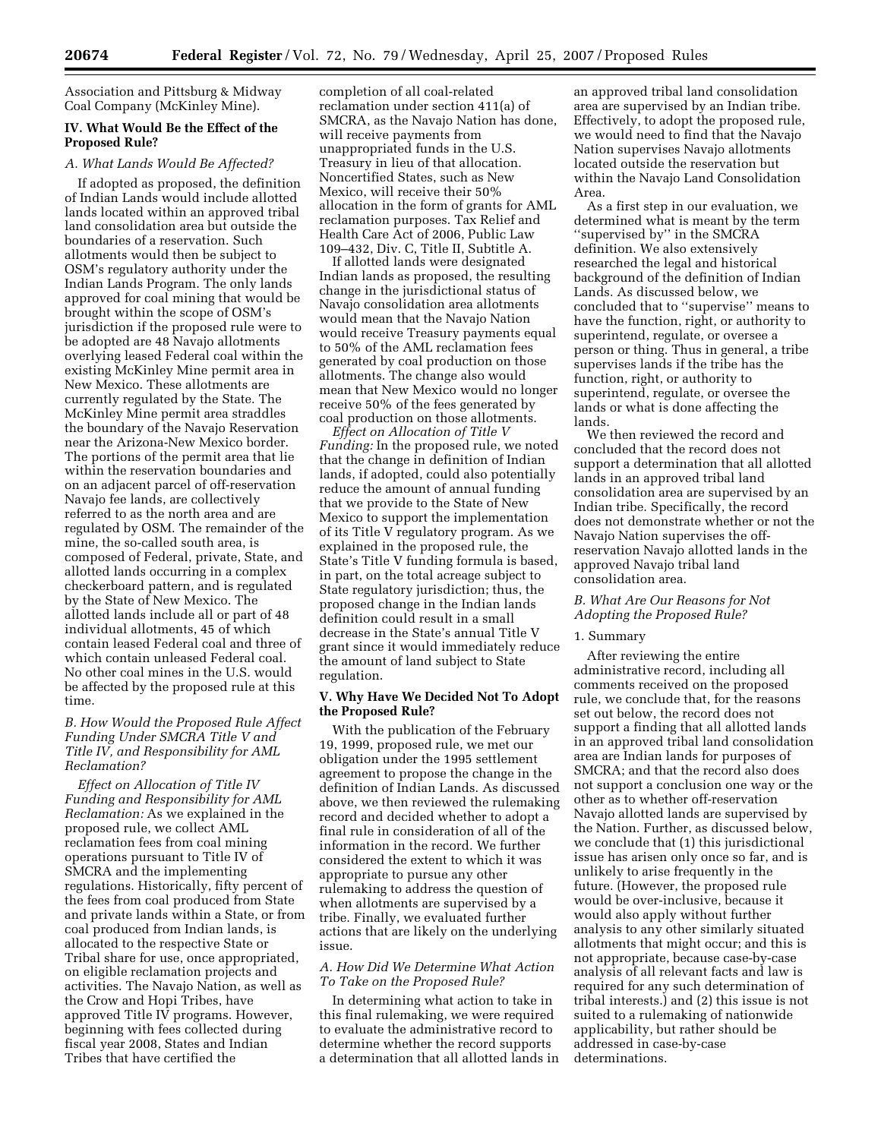Association and Pittsburg & Midway Coal Company (McKinley Mine).

## **IV. What Would Be the Effect of the Proposed Rule?**

# *A. What Lands Would Be Affected?*

If adopted as proposed, the definition of Indian Lands would include allotted lands located within an approved tribal land consolidation area but outside the boundaries of a reservation. Such allotments would then be subject to OSM's regulatory authority under the Indian Lands Program. The only lands approved for coal mining that would be brought within the scope of OSM's jurisdiction if the proposed rule were to be adopted are 48 Navajo allotments overlying leased Federal coal within the existing McKinley Mine permit area in New Mexico. These allotments are currently regulated by the State. The McKinley Mine permit area straddles the boundary of the Navajo Reservation near the Arizona-New Mexico border. The portions of the permit area that lie within the reservation boundaries and on an adjacent parcel of off-reservation Navajo fee lands, are collectively referred to as the north area and are regulated by OSM. The remainder of the mine, the so-called south area, is composed of Federal, private, State, and allotted lands occurring in a complex checkerboard pattern, and is regulated by the State of New Mexico. The allotted lands include all or part of 48 individual allotments, 45 of which contain leased Federal coal and three of which contain unleased Federal coal. No other coal mines in the U.S. would be affected by the proposed rule at this time.

### *B. How Would the Proposed Rule Affect Funding Under SMCRA Title V and Title IV, and Responsibility for AML Reclamation?*

*Effect on Allocation of Title IV Funding and Responsibility for AML Reclamation:* As we explained in the proposed rule, we collect AML reclamation fees from coal mining operations pursuant to Title IV of SMCRA and the implementing regulations. Historically, fifty percent of the fees from coal produced from State and private lands within a State, or from coal produced from Indian lands, is allocated to the respective State or Tribal share for use, once appropriated, on eligible reclamation projects and activities. The Navajo Nation, as well as the Crow and Hopi Tribes, have approved Title IV programs. However, beginning with fees collected during fiscal year 2008, States and Indian Tribes that have certified the

completion of all coal-related reclamation under section 411(a) of SMCRA, as the Navajo Nation has done, will receive payments from unappropriated funds in the U.S. Treasury in lieu of that allocation. Noncertified States, such as New Mexico, will receive their 50% allocation in the form of grants for AML reclamation purposes. Tax Relief and Health Care Act of 2006, Public Law 109–432, Div. C, Title II, Subtitle A.

If allotted lands were designated Indian lands as proposed, the resulting change in the jurisdictional status of Navajo consolidation area allotments would mean that the Navajo Nation would receive Treasury payments equal to 50% of the AML reclamation fees generated by coal production on those allotments. The change also would mean that New Mexico would no longer receive 50% of the fees generated by coal production on those allotments.

*Effect on Allocation of Title V Funding:* In the proposed rule, we noted that the change in definition of Indian lands, if adopted, could also potentially reduce the amount of annual funding that we provide to the State of New Mexico to support the implementation of its Title V regulatory program. As we explained in the proposed rule, the State's Title V funding formula is based, in part, on the total acreage subject to State regulatory jurisdiction; thus, the proposed change in the Indian lands definition could result in a small decrease in the State's annual Title V grant since it would immediately reduce the amount of land subject to State regulation.

# **V. Why Have We Decided Not To Adopt the Proposed Rule?**

With the publication of the February 19, 1999, proposed rule, we met our obligation under the 1995 settlement agreement to propose the change in the definition of Indian Lands. As discussed above, we then reviewed the rulemaking record and decided whether to adopt a final rule in consideration of all of the information in the record. We further considered the extent to which it was appropriate to pursue any other rulemaking to address the question of when allotments are supervised by a tribe. Finally, we evaluated further actions that are likely on the underlying issue.

#### *A. How Did We Determine What Action To Take on the Proposed Rule?*

In determining what action to take in this final rulemaking, we were required to evaluate the administrative record to determine whether the record supports a determination that all allotted lands in

an approved tribal land consolidation area are supervised by an Indian tribe. Effectively, to adopt the proposed rule, we would need to find that the Navajo Nation supervises Navajo allotments located outside the reservation but within the Navajo Land Consolidation Area.

As a first step in our evaluation, we determined what is meant by the term ''supervised by'' in the SMCRA definition. We also extensively researched the legal and historical background of the definition of Indian Lands. As discussed below, we concluded that to ''supervise'' means to have the function, right, or authority to superintend, regulate, or oversee a person or thing. Thus in general, a tribe supervises lands if the tribe has the function, right, or authority to superintend, regulate, or oversee the lands or what is done affecting the lands.

We then reviewed the record and concluded that the record does not support a determination that all allotted lands in an approved tribal land consolidation area are supervised by an Indian tribe. Specifically, the record does not demonstrate whether or not the Navajo Nation supervises the offreservation Navajo allotted lands in the approved Navajo tribal land consolidation area.

# *B. What Are Our Reasons for Not Adopting the Proposed Rule?*

#### 1. Summary

After reviewing the entire administrative record, including all comments received on the proposed rule, we conclude that, for the reasons set out below, the record does not support a finding that all allotted lands in an approved tribal land consolidation area are Indian lands for purposes of SMCRA; and that the record also does not support a conclusion one way or the other as to whether off-reservation Navajo allotted lands are supervised by the Nation. Further, as discussed below, we conclude that (1) this jurisdictional issue has arisen only once so far, and is unlikely to arise frequently in the future. (However, the proposed rule would be over-inclusive, because it would also apply without further analysis to any other similarly situated allotments that might occur; and this is not appropriate, because case-by-case analysis of all relevant facts and law is required for any such determination of tribal interests.) and (2) this issue is not suited to a rulemaking of nationwide applicability, but rather should be addressed in case-by-case determinations.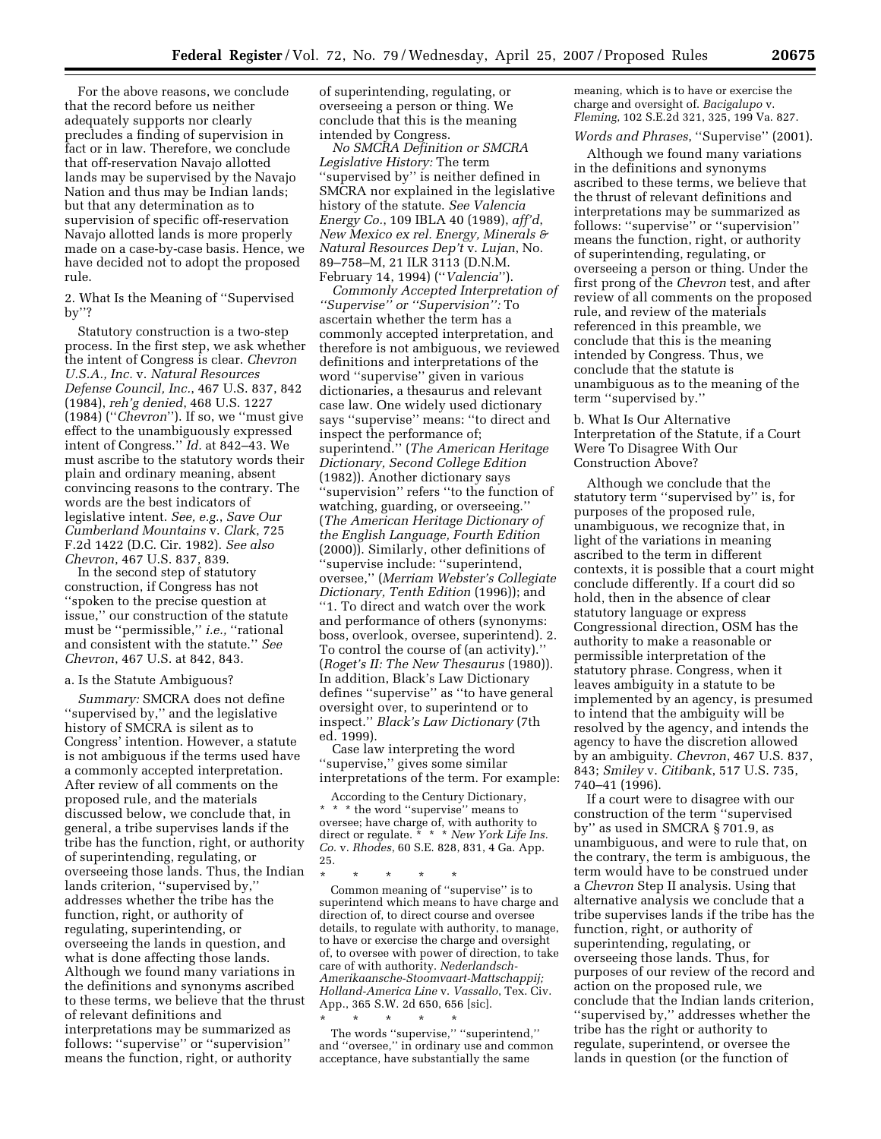For the above reasons, we conclude that the record before us neither adequately supports nor clearly precludes a finding of supervision in fact or in law. Therefore, we conclude that off-reservation Navajo allotted lands may be supervised by the Navajo Nation and thus may be Indian lands; but that any determination as to supervision of specific off-reservation Navajo allotted lands is more properly made on a case-by-case basis. Hence, we have decided not to adopt the proposed rule.

2. What Is the Meaning of ''Supervised by''?

Statutory construction is a two-step process. In the first step, we ask whether the intent of Congress is clear. *Chevron U.S.A., Inc.* v. *Natural Resources Defense Council, Inc.*, 467 U.S. 837, 842 (1984), *reh'g denied*, 468 U.S. 1227 (1984) (''*Chevron*''). If so, we ''must give effect to the unambiguously expressed intent of Congress.'' *Id.* at 842–43. We must ascribe to the statutory words their plain and ordinary meaning, absent convincing reasons to the contrary. The words are the best indicators of legislative intent. *See, e.g.*, *Save Our Cumberland Mountains* v. *Clark*, 725 F.2d 1422 (D.C. Cir. 1982). *See also Chevron*, 467 U.S. 837, 839.

In the second step of statutory construction, if Congress has not ''spoken to the precise question at issue,'' our construction of the statute must be ''permissible,'' *i.e.,* ''rational and consistent with the statute.'' *See Chevron*, 467 U.S. at 842, 843.

#### a. Is the Statute Ambiguous?

*Summary:* SMCRA does not define ''supervised by,'' and the legislative history of SMCRA is silent as to Congress' intention. However, a statute is not ambiguous if the terms used have a commonly accepted interpretation. After review of all comments on the proposed rule, and the materials discussed below, we conclude that, in general, a tribe supervises lands if the tribe has the function, right, or authority of superintending, regulating, or overseeing those lands. Thus, the Indian lands criterion, ''supervised by,'' addresses whether the tribe has the function, right, or authority of regulating, superintending, or overseeing the lands in question, and what is done affecting those lands. Although we found many variations in the definitions and synonyms ascribed to these terms, we believe that the thrust of relevant definitions and interpretations may be summarized as follows: ''supervise'' or ''supervision'' means the function, right, or authority

of superintending, regulating, or overseeing a person or thing. We conclude that this is the meaning intended by Congress.

*No SMCRA Definition or SMCRA Legislative History:* The term ''supervised by'' is neither defined in SMCRA nor explained in the legislative history of the statute. *See Valencia Energy Co.*, 109 IBLA 40 (1989), *aff'd*, *New Mexico ex rel. Energy, Minerals & Natural Resources Dep't* v. *Lujan*, No. 89–758–M, 21 ILR 3113 (D.N.M. February 14, 1994) (''*Valencia*'').

*Commonly Accepted Interpretation of ''Supervise'' or ''Supervision'':* To ascertain whether the term has a commonly accepted interpretation, and therefore is not ambiguous, we reviewed definitions and interpretations of the word ''supervise'' given in various dictionaries, a thesaurus and relevant case law. One widely used dictionary says ''supervise'' means: ''to direct and inspect the performance of; superintend.'' (*The American Heritage Dictionary, Second College Edition*  (1982)). Another dictionary says ''supervision'' refers ''to the function of watching, guarding, or overseeing.'' (*The American Heritage Dictionary of the English Language, Fourth Edition*  (2000)). Similarly, other definitions of ''supervise include: ''superintend, oversee,'' (*Merriam Webster's Collegiate Dictionary, Tenth Edition* (1996)); and ''1. To direct and watch over the work and performance of others (synonyms: boss, overlook, oversee, superintend). 2. To control the course of (an activity).'' (*Roget's II: The New Thesaurus* (1980)). In addition, Black's Law Dictionary defines ''supervise'' as ''to have general oversight over, to superintend or to inspect.'' *Black's Law Dictionary* (7th ed. 1999).

Case law interpreting the word ''supervise,'' gives some similar interpretations of the term. For example:

According to the Century Dictionary, \* \* \* the word ''supervise'' means to oversee; have charge of, with authority to direct or regulate. \* \* \* *New York Life Ins. Co.* v. *Rhodes*, 60 S.E. 828, 831, 4 Ga. App. 25.

\* \* \* \* \* Common meaning of ''supervise'' is to superintend which means to have charge and direction of, to direct course and oversee details, to regulate with authority, to manage, to have or exercise the charge and oversight

of, to oversee with power of direction, to take care of with authority. *Nederlandsch-Amerikaansche-Stoomvaart-Mattschappij; Holland-America Line* v. *Vassallo*, Tex. Civ. App., 365 S.W. 2d 650, 656 [sic]. <br>  $\star$   $\quad$   $\star$   $\quad$   $\star$   $\quad$   $\star$   $\quad$ \* \* \* \* \*

The words ''supervise,'' ''superintend,'' and ''oversee,'' in ordinary use and common acceptance, have substantially the same

meaning, which is to have or exercise the charge and oversight of. *Bacigalupo* v. *Fleming*, 102 S.E.2d 321, 325, 199 Va. 827.

# *Words and Phrases*, ''Supervise'' (2001).

Although we found many variations in the definitions and synonyms ascribed to these terms, we believe that the thrust of relevant definitions and interpretations may be summarized as follows: ''supervise'' or ''supervision'' means the function, right, or authority of superintending, regulating, or overseeing a person or thing. Under the first prong of the *Chevron* test, and after review of all comments on the proposed rule, and review of the materials referenced in this preamble, we conclude that this is the meaning intended by Congress. Thus, we conclude that the statute is unambiguous as to the meaning of the term ''supervised by.''

b. What Is Our Alternative Interpretation of the Statute, if a Court Were To Disagree With Our Construction Above?

Although we conclude that the statutory term ''supervised by'' is, for purposes of the proposed rule, unambiguous, we recognize that, in light of the variations in meaning ascribed to the term in different contexts, it is possible that a court might conclude differently. If a court did so hold, then in the absence of clear statutory language or express Congressional direction, OSM has the authority to make a reasonable or permissible interpretation of the statutory phrase. Congress, when it leaves ambiguity in a statute to be implemented by an agency, is presumed to intend that the ambiguity will be resolved by the agency, and intends the agency to have the discretion allowed by an ambiguity. *Chevron*, 467 U.S. 837, 843; *Smiley* v. *Citibank*, 517 U.S. 735, 740–41 (1996).

If a court were to disagree with our construction of the term ''supervised by'' as used in SMCRA § 701.9, as unambiguous, and were to rule that, on the contrary, the term is ambiguous, the term would have to be construed under a *Chevron* Step II analysis. Using that alternative analysis we conclude that a tribe supervises lands if the tribe has the function, right, or authority of superintending, regulating, or overseeing those lands. Thus, for purposes of our review of the record and action on the proposed rule, we conclude that the Indian lands criterion, ''supervised by,'' addresses whether the tribe has the right or authority to regulate, superintend, or oversee the lands in question (or the function of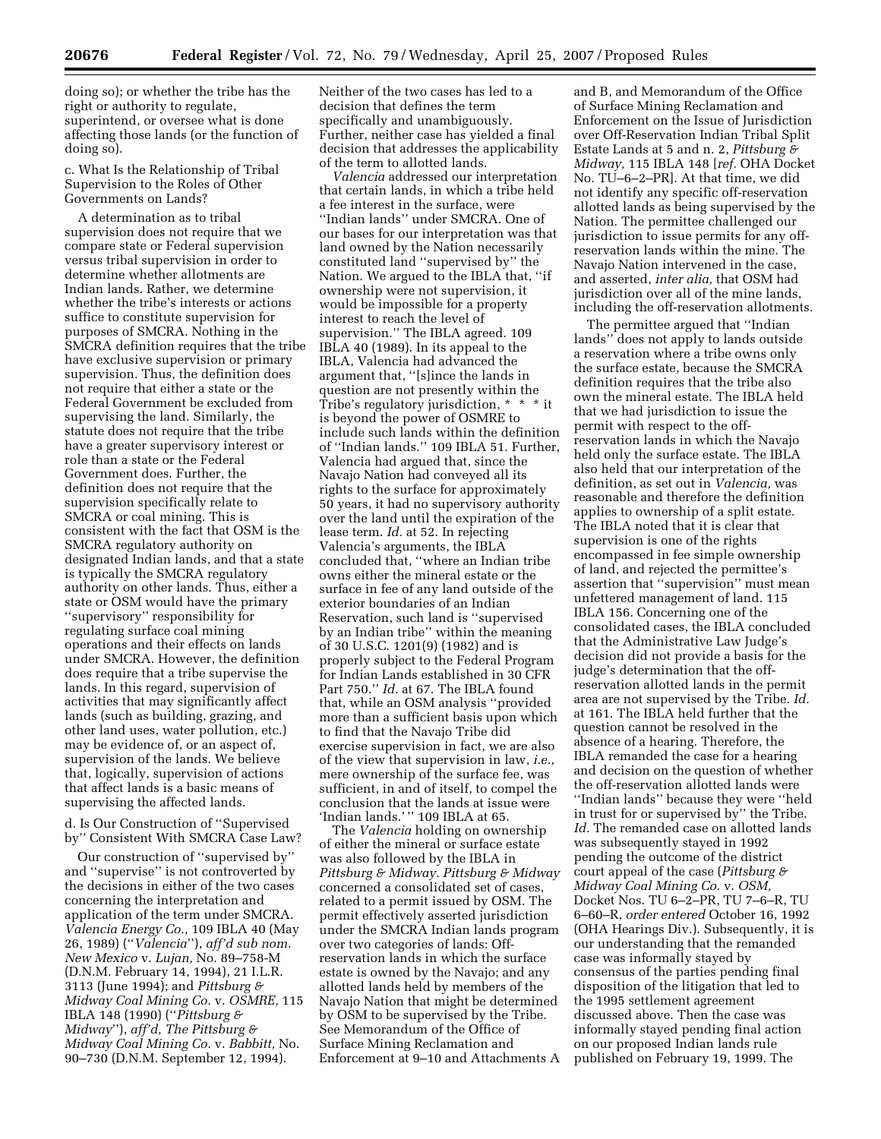doing so); or whether the tribe has the right or authority to regulate, superintend, or oversee what is done affecting those lands (or the function of doing so).

c. What Is the Relationship of Tribal Supervision to the Roles of Other Governments on Lands?

A determination as to tribal supervision does not require that we compare state or Federal supervision versus tribal supervision in order to determine whether allotments are Indian lands. Rather, we determine whether the tribe's interests or actions suffice to constitute supervision for purposes of SMCRA. Nothing in the SMCRA definition requires that the tribe have exclusive supervision or primary supervision. Thus, the definition does not require that either a state or the Federal Government be excluded from supervising the land. Similarly, the statute does not require that the tribe have a greater supervisory interest or role than a state or the Federal Government does. Further, the definition does not require that the supervision specifically relate to SMCRA or coal mining. This is consistent with the fact that OSM is the SMCRA regulatory authority on designated Indian lands, and that a state is typically the SMCRA regulatory authority on other lands. Thus, either a state or OSM would have the primary ''supervisory'' responsibility for regulating surface coal mining operations and their effects on lands under SMCRA. However, the definition does require that a tribe supervise the lands. In this regard, supervision of activities that may significantly affect lands (such as building, grazing, and other land uses, water pollution, etc.) may be evidence of, or an aspect of, supervision of the lands. We believe that, logically, supervision of actions that affect lands is a basic means of supervising the affected lands.

d. Is Our Construction of ''Supervised by'' Consistent With SMCRA Case Law?

Our construction of ''supervised by'' and ''supervise'' is not controverted by the decisions in either of the two cases concerning the interpretation and application of the term under SMCRA. *Valencia Energy Co.,* 109 IBLA 40 (May 26, 1989) (''*Valencia*''), *aff'd sub nom. New Mexico* v. *Lujan,* No. 89–758-M (D.N.M. February 14, 1994), 21 I.L.R. 3113 (June 1994); and *Pittsburg & Midway Coal Mining Co.* v. *OSMRE,* 115 IBLA 148 (1990) (''*Pittsburg & Midway*''), *aff'd, The Pittsburg & Midway Coal Mining Co.* v. *Babbitt,* No. 90–730 (D.N.M. September 12, 1994).

Neither of the two cases has led to a decision that defines the term specifically and unambiguously. Further, neither case has yielded a final decision that addresses the applicability of the term to allotted lands.

*Valencia* addressed our interpretation that certain lands, in which a tribe held a fee interest in the surface, were ''Indian lands'' under SMCRA. One of our bases for our interpretation was that land owned by the Nation necessarily constituted land ''supervised by'' the Nation. We argued to the IBLA that, ''if ownership were not supervision, it would be impossible for a property interest to reach the level of supervision.'' The IBLA agreed. 109 IBLA 40 (1989). In its appeal to the IBLA, Valencia had advanced the argument that, ''[s]ince the lands in question are not presently within the Tribe's regulatory jurisdiction, \* \* \* it is beyond the power of OSMRE to include such lands within the definition of ''Indian lands.'' 109 IBLA 51. Further, Valencia had argued that, since the Navajo Nation had conveyed all its rights to the surface for approximately 50 years, it had no supervisory authority over the land until the expiration of the lease term. *Id.* at 52. In rejecting Valencia's arguments, the IBLA concluded that, ''where an Indian tribe owns either the mineral estate or the surface in fee of any land outside of the exterior boundaries of an Indian Reservation, such land is ''supervised by an Indian tribe'' within the meaning of 30 U.S.C. 1201(9) (1982) and is properly subject to the Federal Program for Indian Lands established in 30 CFR Part 750.'' *Id.* at 67. The IBLA found that, while an OSM analysis ''provided more than a sufficient basis upon which to find that the Navajo Tribe did exercise supervision in fact, we are also of the view that supervision in law, *i.e.*, mere ownership of the surface fee, was sufficient, in and of itself, to compel the conclusion that the lands at issue were 'Indian lands.' '' 109 IBLA at 65.

The *Valencia* holding on ownership of either the mineral or surface estate was also followed by the IBLA in *Pittsburg & Midway. Pittsburg & Midway*  concerned a consolidated set of cases, related to a permit issued by OSM. The permit effectively asserted jurisdiction under the SMCRA Indian lands program over two categories of lands: Offreservation lands in which the surface estate is owned by the Navajo; and any allotted lands held by members of the Navajo Nation that might be determined by OSM to be supervised by the Tribe. See Memorandum of the Office of Surface Mining Reclamation and Enforcement at 9–10 and Attachments A

and B, and Memorandum of the Office of Surface Mining Reclamation and Enforcement on the Issue of Jurisdiction over Off-Reservation Indian Tribal Split Estate Lands at 5 and n. 2, *Pittsburg & Midway,* 115 IBLA 148 [*ref.* OHA Docket No. TU–6–2–PR]. At that time, we did not identify any specific off-reservation allotted lands as being supervised by the Nation. The permittee challenged our jurisdiction to issue permits for any offreservation lands within the mine. The Navajo Nation intervened in the case, and asserted, *inter alia,* that OSM had jurisdiction over all of the mine lands, including the off-reservation allotments.

The permittee argued that ''Indian lands'' does not apply to lands outside a reservation where a tribe owns only the surface estate, because the SMCRA definition requires that the tribe also own the mineral estate. The IBLA held that we had jurisdiction to issue the permit with respect to the offreservation lands in which the Navajo held only the surface estate. The IBLA also held that our interpretation of the definition, as set out in *Valencia,* was reasonable and therefore the definition applies to ownership of a split estate. The IBLA noted that it is clear that supervision is one of the rights encompassed in fee simple ownership of land, and rejected the permittee's assertion that ''supervision'' must mean unfettered management of land. 115 IBLA 156. Concerning one of the consolidated cases, the IBLA concluded that the Administrative Law Judge's decision did not provide a basis for the judge's determination that the offreservation allotted lands in the permit area are not supervised by the Tribe. *Id.*  at 161. The IBLA held further that the question cannot be resolved in the absence of a hearing. Therefore, the IBLA remanded the case for a hearing and decision on the question of whether the off-reservation allotted lands were ''Indian lands'' because they were ''held in trust for or supervised by'' the Tribe. *Id.* The remanded case on allotted lands was subsequently stayed in 1992 pending the outcome of the district court appeal of the case (*Pittsburg & Midway Coal Mining Co.* v. *OSM,*  Docket Nos. TU 6–2–PR, TU 7–6–R, TU 6–60–R, *order entered* October 16, 1992 (OHA Hearings Div.). Subsequently, it is our understanding that the remanded case was informally stayed by consensus of the parties pending final disposition of the litigation that led to the 1995 settlement agreement discussed above. Then the case was informally stayed pending final action on our proposed Indian lands rule published on February 19, 1999. The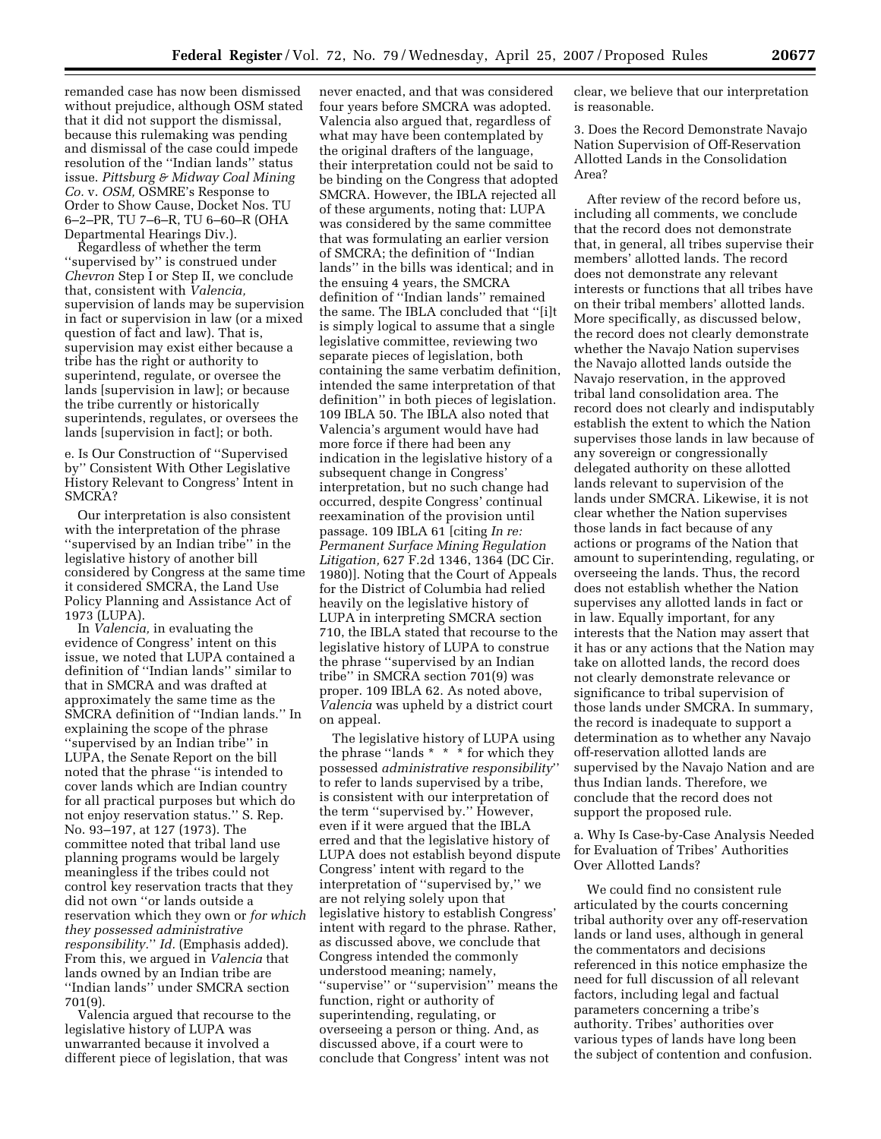remanded case has now been dismissed without prejudice, although OSM stated that it did not support the dismissal, because this rulemaking was pending and dismissal of the case could impede resolution of the ''Indian lands'' status issue. *Pittsburg & Midway Coal Mining Co.* v. *OSM,* OSMRE's Response to Order to Show Cause, Docket Nos. TU 6–2–PR, TU 7–6–R, TU 6–60–R (OHA Departmental Hearings Div.).

Regardless of whether the term ''supervised by'' is construed under *Chevron* Step I or Step II, we conclude that, consistent with *Valencia,*  supervision of lands may be supervision in fact or supervision in law (or a mixed question of fact and law). That is, supervision may exist either because a tribe has the right or authority to superintend, regulate, or oversee the lands [supervision in law]; or because the tribe currently or historically superintends, regulates, or oversees the lands [supervision in fact]; or both.

e. Is Our Construction of ''Supervised by'' Consistent With Other Legislative History Relevant to Congress' Intent in SMCRA?

Our interpretation is also consistent with the interpretation of the phrase ''supervised by an Indian tribe'' in the legislative history of another bill considered by Congress at the same time it considered SMCRA, the Land Use Policy Planning and Assistance Act of 1973 (LUPA).

In *Valencia,* in evaluating the evidence of Congress' intent on this issue, we noted that LUPA contained a definition of ''Indian lands'' similar to that in SMCRA and was drafted at approximately the same time as the SMCRA definition of ''Indian lands.'' In explaining the scope of the phrase ''supervised by an Indian tribe'' in LUPA, the Senate Report on the bill noted that the phrase ''is intended to cover lands which are Indian country for all practical purposes but which do not enjoy reservation status.'' S. Rep. No. 93–197, at 127 (1973). The committee noted that tribal land use planning programs would be largely meaningless if the tribes could not control key reservation tracts that they did not own ''or lands outside a reservation which they own or *for which they possessed administrative responsibility.*'' *Id.* (Emphasis added). From this, we argued in *Valencia* that lands owned by an Indian tribe are ''Indian lands'' under SMCRA section 701(9).

Valencia argued that recourse to the legislative history of LUPA was unwarranted because it involved a different piece of legislation, that was

never enacted, and that was considered four years before SMCRA was adopted. Valencia also argued that, regardless of what may have been contemplated by the original drafters of the language, their interpretation could not be said to be binding on the Congress that adopted SMCRA. However, the IBLA rejected all of these arguments, noting that: LUPA was considered by the same committee that was formulating an earlier version of SMCRA; the definition of ''Indian lands'' in the bills was identical; and in the ensuing 4 years, the SMCRA definition of ''Indian lands'' remained the same. The IBLA concluded that ''[i]t is simply logical to assume that a single legislative committee, reviewing two separate pieces of legislation, both containing the same verbatim definition, intended the same interpretation of that definition'' in both pieces of legislation. 109 IBLA 50. The IBLA also noted that Valencia's argument would have had more force if there had been any indication in the legislative history of a subsequent change in Congress' interpretation, but no such change had occurred, despite Congress' continual reexamination of the provision until passage. 109 IBLA 61 [citing *In re: Permanent Surface Mining Regulation Litigation,* 627 F.2d 1346, 1364 (DC Cir. 1980)]. Noting that the Court of Appeals for the District of Columbia had relied heavily on the legislative history of LUPA in interpreting SMCRA section 710, the IBLA stated that recourse to the legislative history of LUPA to construe the phrase ''supervised by an Indian tribe'' in SMCRA section 701(9) was proper. 109 IBLA 62. As noted above, *Valencia* was upheld by a district court on appeal.

The legislative history of LUPA using the phrase ''lands \* \* \* for which they possessed *administrative responsibility*'' to refer to lands supervised by a tribe, is consistent with our interpretation of the term ''supervised by.'' However, even if it were argued that the IBLA erred and that the legislative history of LUPA does not establish beyond dispute Congress' intent with regard to the interpretation of ''supervised by,'' we are not relying solely upon that legislative history to establish Congress' intent with regard to the phrase. Rather, as discussed above, we conclude that Congress intended the commonly understood meaning; namely, ''supervise'' or ''supervision'' means the function, right or authority of superintending, regulating, or overseeing a person or thing. And, as discussed above, if a court were to conclude that Congress' intent was not

clear, we believe that our interpretation is reasonable.

3. Does the Record Demonstrate Navajo Nation Supervision of Off-Reservation Allotted Lands in the Consolidation Area?

After review of the record before us, including all comments, we conclude that the record does not demonstrate that, in general, all tribes supervise their members' allotted lands. The record does not demonstrate any relevant interests or functions that all tribes have on their tribal members' allotted lands. More specifically, as discussed below, the record does not clearly demonstrate whether the Navajo Nation supervises the Navajo allotted lands outside the Navajo reservation, in the approved tribal land consolidation area. The record does not clearly and indisputably establish the extent to which the Nation supervises those lands in law because of any sovereign or congressionally delegated authority on these allotted lands relevant to supervision of the lands under SMCRA. Likewise, it is not clear whether the Nation supervises those lands in fact because of any actions or programs of the Nation that amount to superintending, regulating, or overseeing the lands. Thus, the record does not establish whether the Nation supervises any allotted lands in fact or in law. Equally important, for any interests that the Nation may assert that it has or any actions that the Nation may take on allotted lands, the record does not clearly demonstrate relevance or significance to tribal supervision of those lands under SMCRA. In summary, the record is inadequate to support a determination as to whether any Navajo off-reservation allotted lands are supervised by the Navajo Nation and are thus Indian lands. Therefore, we conclude that the record does not support the proposed rule.

a. Why Is Case-by-Case Analysis Needed for Evaluation of Tribes' Authorities Over Allotted Lands?

We could find no consistent rule articulated by the courts concerning tribal authority over any off-reservation lands or land uses, although in general the commentators and decisions referenced in this notice emphasize the need for full discussion of all relevant factors, including legal and factual parameters concerning a tribe's authority. Tribes' authorities over various types of lands have long been the subject of contention and confusion.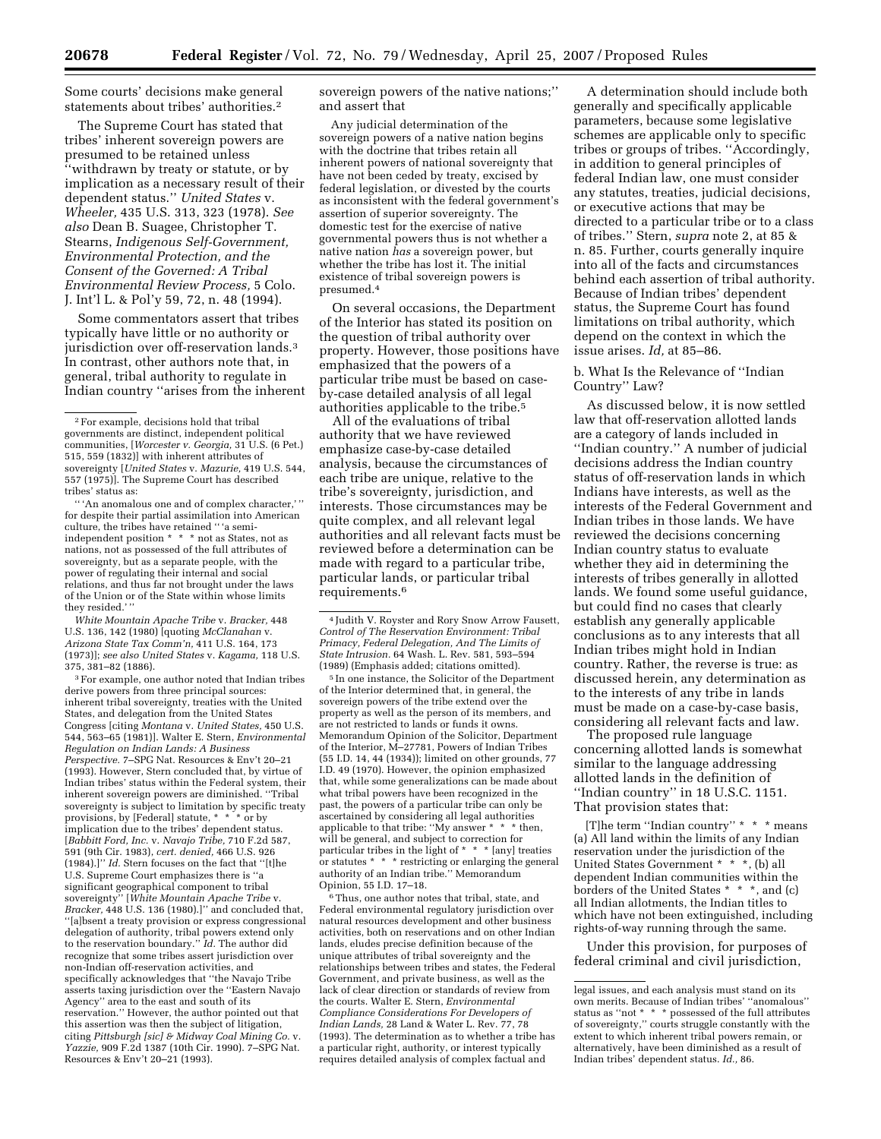Some courts' decisions make general statements about tribes' authorities.2

The Supreme Court has stated that tribes' inherent sovereign powers are presumed to be retained unless ''withdrawn by treaty or statute, or by implication as a necessary result of their dependent status.'' *United States* v. *Wheeler,* 435 U.S. 313, 323 (1978). *See also* Dean B. Suagee, Christopher T. Stearns, *Indigenous Self-Government, Environmental Protection, and the Consent of the Governed: A Tribal Environmental Review Process,* 5 Colo. J. Int'l L. & Pol'y 59, 72, n. 48 (1994).

Some commentators assert that tribes typically have little or no authority or jurisdiction over off-reservation lands.3 In contrast, other authors note that, in general, tribal authority to regulate in Indian country ''arises from the inherent

'' 'An anomalous one and of complex character,' '' for despite their partial assimilation into American culture, the tribes have retained '' 'a semiindependent position \* \* \* not as States, not as nations, not as possessed of the full attributes of sovereignty, but as a separate people, with the power of regulating their internal and social relations, and thus far not brought under the laws of the Union or of the State within whose limits they resided.' ''

*White Mountain Apache Tribe* v. *Bracker,* 448 U.S. 136, 142 (1980) [quoting *McClanahan* v. *Arizona State Tax Comm'n,* 411 U.S. 164, 173 (1973)]; *see also United States* v. *Kagama,* 118 U.S. 375, 381–82 (1886).

3For example, one author noted that Indian tribes derive powers from three principal sources: inherent tribal sovereignty, treaties with the United States, and delegation from the United States Congress [citing *Montana* v. *United States,* 450 U.S. 544, 563–65 (1981)]. Walter E. Stern, *Environmental Regulation on Indian Lands: A Business Perspective.* 7–SPG Nat. Resources & Env't 20–21 (1993). However, Stern concluded that, by virtue of Indian tribes' status within the Federal system, their inherent sovereign powers are diminished. ''Tribal sovereignty is subject to limitation by specific treaty provisions, by [Federal] statute, \* \* \* or by implication due to the tribes' dependent status. [*Babbitt Ford, Inc.* v. *Navajo Tribe,* 710 F.2d 587, 591 (9th Cir. 1983), *cert. denied,* 466 U.S. 926 (1984).]'' *Id.* Stern focuses on the fact that ''[t]he U.S. Supreme Court emphasizes there is ''a significant geographical component to tribal sovereignty'' [*White Mountain Apache Tribe* v. *Bracker,* 448 U.S. 136 (1980).]'' and concluded that, ''[a]bsent a treaty provision or express congressional delegation of authority, tribal powers extend only to the reservation boundary.'' *Id.* The author did recognize that some tribes assert jurisdiction over non-Indian off-reservation activities, and specifically acknowledges that ''the Navajo Tribe asserts taxing jurisdiction over the ''Eastern Navajo Agency'' area to the east and south of its reservation.'' However, the author pointed out that this assertion was then the subject of litigation, citing *Pittsburgh [sic] & Midway Coal Mining Co.* v. *Yazzie,* 909 F.2d 1387 (10th Cir. 1990). 7–SPG Nat. Resources & Env't 20–21 (1993).

sovereign powers of the native nations;'' and assert that

Any judicial determination of the sovereign powers of a native nation begins with the doctrine that tribes retain all inherent powers of national sovereignty that have not been ceded by treaty, excised by federal legislation, or divested by the courts as inconsistent with the federal government's assertion of superior sovereignty. The domestic test for the exercise of native governmental powers thus is not whether a native nation *has* a sovereign power, but whether the tribe has lost it. The initial existence of tribal sovereign powers is presumed.4

On several occasions, the Department of the Interior has stated its position on the question of tribal authority over property. However, those positions have emphasized that the powers of a particular tribe must be based on caseby-case detailed analysis of all legal authorities applicable to the tribe.5

All of the evaluations of tribal authority that we have reviewed emphasize case-by-case detailed analysis, because the circumstances of each tribe are unique, relative to the tribe's sovereignty, jurisdiction, and interests. Those circumstances may be quite complex, and all relevant legal authorities and all relevant facts must be reviewed before a determination can be made with regard to a particular tribe, particular lands, or particular tribal requirements.6

5 In one instance, the Solicitor of the Department of the Interior determined that, in general, the sovereign powers of the tribe extend over the property as well as the person of its members, and are not restricted to lands or funds it owns. Memorandum Opinion of the Solicitor, Department of the Interior, M–27781, Powers of Indian Tribes (55 I.D. 14, 44 (1934)); limited on other grounds, 77 I.D. 49 (1970). However, the opinion emphasized that, while some generalizations can be made about what tribal powers have been recognized in the past, the powers of a particular tribe can only be ascertained by considering all legal authorities applicable to that tribe: "My answer \* \* \* then, will be general, and subject to correction for particular tribes in the light of \* \* \* [any] treaties or statutes \* \* \* restricting or enlarging the general authority of an Indian tribe.'' Memorandum Opinion, 55 I.D. 17–18.

6Thus, one author notes that tribal, state, and Federal environmental regulatory jurisdiction over natural resources development and other business activities, both on reservations and on other Indian lands, eludes precise definition because of the unique attributes of tribal sovereignty and the relationships between tribes and states, the Federal Government, and private business, as well as the lack of clear direction or standards of review from the courts. Walter E. Stern, *Environmental Compliance Considerations For Developers of Indian Lands,* 28 Land & Water L. Rev. 77, 78 (1993). The determination as to whether a tribe has a particular right, authority, or interest typically requires detailed analysis of complex factual and

A determination should include both generally and specifically applicable parameters, because some legislative schemes are applicable only to specific tribes or groups of tribes. ''Accordingly, in addition to general principles of federal Indian law, one must consider any statutes, treaties, judicial decisions, or executive actions that may be directed to a particular tribe or to a class of tribes.'' Stern, *supra* note 2, at 85 & n. 85. Further, courts generally inquire into all of the facts and circumstances behind each assertion of tribal authority. Because of Indian tribes' dependent status, the Supreme Court has found limitations on tribal authority, which depend on the context in which the issue arises. *Id,* at 85–86.

b. What Is the Relevance of ''Indian Country'' Law?

As discussed below, it is now settled law that off-reservation allotted lands are a category of lands included in ''Indian country.'' A number of judicial decisions address the Indian country status of off-reservation lands in which Indians have interests, as well as the interests of the Federal Government and Indian tribes in those lands. We have reviewed the decisions concerning Indian country status to evaluate whether they aid in determining the interests of tribes generally in allotted lands. We found some useful guidance, but could find no cases that clearly establish any generally applicable conclusions as to any interests that all Indian tribes might hold in Indian country. Rather, the reverse is true: as discussed herein, any determination as to the interests of any tribe in lands must be made on a case-by-case basis, considering all relevant facts and law.

The proposed rule language concerning allotted lands is somewhat similar to the language addressing allotted lands in the definition of ''Indian country'' in 18 U.S.C. 1151. That provision states that:

[T]he term ''Indian country'' \* \* \* means (a) All land within the limits of any Indian reservation under the jurisdiction of the United States Government \* \* \*, (b) all dependent Indian communities within the borders of the United States \* \* \*, and (c) all Indian allotments, the Indian titles to which have not been extinguished, including rights-of-way running through the same.

Under this provision, for purposes of federal criminal and civil jurisdiction,

<sup>2</sup>For example, decisions hold that tribal governments are distinct, independent political communities, [*Worcester v. Georgia,* 31 U.S. (6 Pet.) 515, 559 (1832)] with inherent attributes of sovereignty [*United States* v. *Mazurie,* 419 U.S. 544, 557 (1975)]. The Supreme Court has described tribes' status as:

<sup>4</sup> Judith V. Royster and Rory Snow Arrow Fausett, *Control of The Reservation Environment: Tribal Primacy, Federal Delegation, And The Limits of State Intrusion.* 64 Wash. L. Rev. 581, 593–594 (1989) (Emphasis added; citations omitted).

legal issues, and each analysis must stand on its own merits. Because of Indian tribes' ''anomalous'' status as ''not \* \* \* possessed of the full attributes of sovereignty,'' courts struggle constantly with the extent to which inherent tribal powers remain, or alternatively, have been diminished as a result of Indian tribes' dependent status. *Id.,* 86.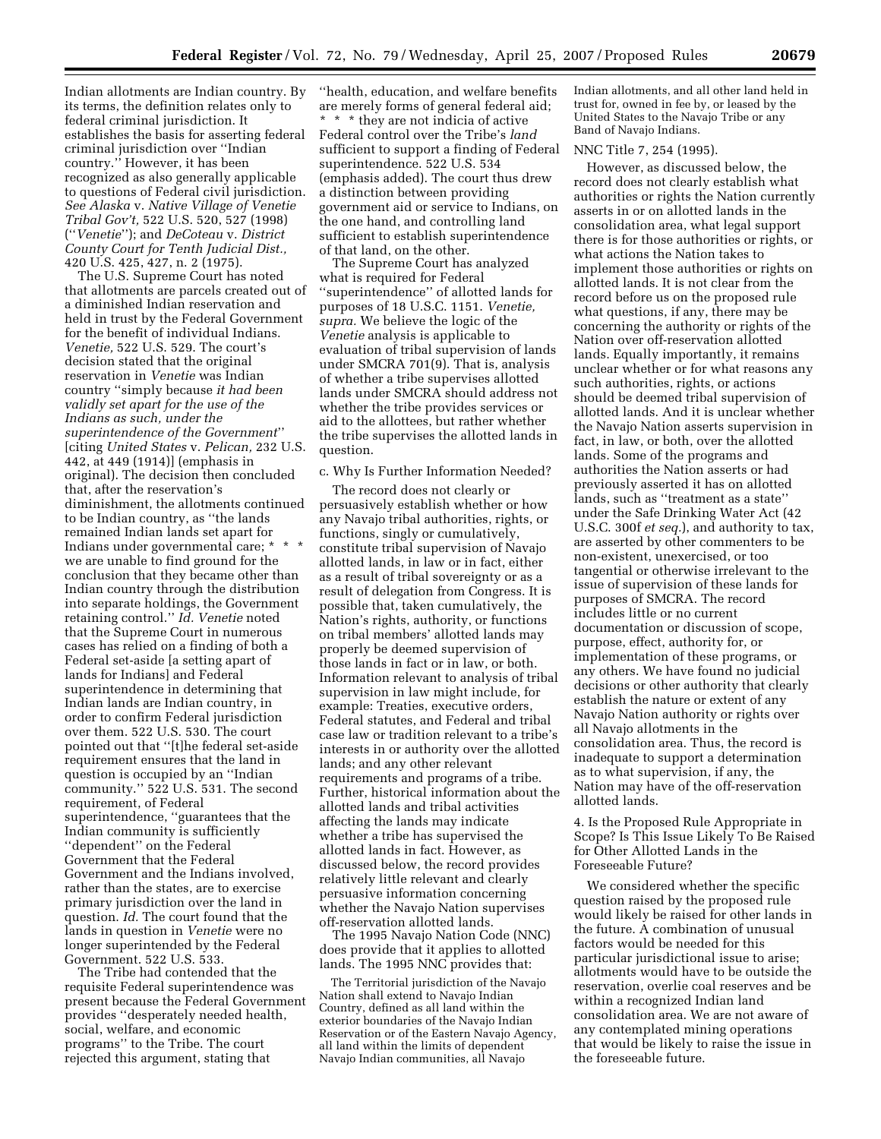Indian allotments are Indian country. By its terms, the definition relates only to federal criminal jurisdiction. It establishes the basis for asserting federal criminal jurisdiction over ''Indian country.'' However, it has been recognized as also generally applicable to questions of Federal civil jurisdiction. *See Alaska* v. *Native Village of Venetie Tribal Gov't,* 522 U.S. 520, 527 (1998) (''*Venetie*''); and *DeCoteau* v. *District County Court for Tenth Judicial Dist.,*  420 U.S. 425, 427, n. 2 (1975).

The U.S. Supreme Court has noted that allotments are parcels created out of a diminished Indian reservation and held in trust by the Federal Government for the benefit of individual Indians. *Venetie,* 522 U.S. 529. The court's decision stated that the original reservation in *Venetie* was Indian country ''simply because *it had been validly set apart for the use of the Indians as such, under the superintendence of the Government*'' [citing *United States* v. *Pelican,* 232 U.S. 442, at 449 (1914)] (emphasis in original). The decision then concluded that, after the reservation's diminishment, the allotments continued to be Indian country, as ''the lands remained Indian lands set apart for Indians under governmental care; \* \* \* we are unable to find ground for the conclusion that they became other than Indian country through the distribution into separate holdings, the Government retaining control.'' *Id. Venetie* noted that the Supreme Court in numerous cases has relied on a finding of both a Federal set-aside [a setting apart of lands for Indians] and Federal superintendence in determining that Indian lands are Indian country, in order to confirm Federal jurisdiction over them. 522 U.S. 530. The court pointed out that ''[t]he federal set-aside requirement ensures that the land in question is occupied by an ''Indian community.'' 522 U.S. 531. The second requirement, of Federal superintendence, ''guarantees that the Indian community is sufficiently ''dependent'' on the Federal Government that the Federal Government and the Indians involved, rather than the states, are to exercise primary jurisdiction over the land in question. *Id.* The court found that the lands in question in *Venetie* were no longer superintended by the Federal Government. 522 U.S. 533.

The Tribe had contended that the requisite Federal superintendence was present because the Federal Government provides ''desperately needed health, social, welfare, and economic programs'' to the Tribe. The court rejected this argument, stating that

''health, education, and welfare benefits are merely forms of general federal aid; \* \* \* they are not indicia of active Federal control over the Tribe's *land*  sufficient to support a finding of Federal superintendence. 522 U.S. 534 (emphasis added). The court thus drew a distinction between providing government aid or service to Indians, on the one hand, and controlling land sufficient to establish superintendence of that land, on the other.

The Supreme Court has analyzed what is required for Federal ''superintendence'' of allotted lands for purposes of 18 U.S.C. 1151. *Venetie, supra.* We believe the logic of the *Venetie* analysis is applicable to evaluation of tribal supervision of lands under SMCRA 701(9). That is, analysis of whether a tribe supervises allotted lands under SMCRA should address not whether the tribe provides services or aid to the allottees, but rather whether the tribe supervises the allotted lands in question.

#### c. Why Is Further Information Needed?

The record does not clearly or persuasively establish whether or how any Navajo tribal authorities, rights, or functions, singly or cumulatively, constitute tribal supervision of Navajo allotted lands, in law or in fact, either as a result of tribal sovereignty or as a result of delegation from Congress. It is possible that, taken cumulatively, the Nation's rights, authority, or functions on tribal members' allotted lands may properly be deemed supervision of those lands in fact or in law, or both. Information relevant to analysis of tribal supervision in law might include, for example: Treaties, executive orders, Federal statutes, and Federal and tribal case law or tradition relevant to a tribe's interests in or authority over the allotted lands; and any other relevant requirements and programs of a tribe. Further, historical information about the allotted lands and tribal activities affecting the lands may indicate whether a tribe has supervised the allotted lands in fact. However, as discussed below, the record provides relatively little relevant and clearly persuasive information concerning whether the Navajo Nation supervises off-reservation allotted lands.

The 1995 Navajo Nation Code (NNC) does provide that it applies to allotted lands. The 1995 NNC provides that:

The Territorial jurisdiction of the Navajo Nation shall extend to Navajo Indian Country, defined as all land within the exterior boundaries of the Navajo Indian Reservation or of the Eastern Navajo Agency, all land within the limits of dependent Navajo Indian communities, all Navajo

Indian allotments, and all other land held in trust for, owned in fee by, or leased by the United States to the Navajo Tribe or any Band of Navajo Indians.

#### NNC Title 7, 254 (1995).

However, as discussed below, the record does not clearly establish what authorities or rights the Nation currently asserts in or on allotted lands in the consolidation area, what legal support there is for those authorities or rights, or what actions the Nation takes to implement those authorities or rights on allotted lands. It is not clear from the record before us on the proposed rule what questions, if any, there may be concerning the authority or rights of the Nation over off-reservation allotted lands. Equally importantly, it remains unclear whether or for what reasons any such authorities, rights, or actions should be deemed tribal supervision of allotted lands. And it is unclear whether the Navajo Nation asserts supervision in fact, in law, or both, over the allotted lands. Some of the programs and authorities the Nation asserts or had previously asserted it has on allotted lands, such as ''treatment as a state'' under the Safe Drinking Water Act (42 U.S.C. 300f *et seq.*), and authority to tax, are asserted by other commenters to be non-existent, unexercised, or too tangential or otherwise irrelevant to the issue of supervision of these lands for purposes of SMCRA. The record includes little or no current documentation or discussion of scope, purpose, effect, authority for, or implementation of these programs, or any others. We have found no judicial decisions or other authority that clearly establish the nature or extent of any Navajo Nation authority or rights over all Navajo allotments in the consolidation area. Thus, the record is inadequate to support a determination as to what supervision, if any, the Nation may have of the off-reservation allotted lands.

4. Is the Proposed Rule Appropriate in Scope? Is This Issue Likely To Be Raised for Other Allotted Lands in the Foreseeable Future?

We considered whether the specific question raised by the proposed rule would likely be raised for other lands in the future. A combination of unusual factors would be needed for this particular jurisdictional issue to arise; allotments would have to be outside the reservation, overlie coal reserves and be within a recognized Indian land consolidation area. We are not aware of any contemplated mining operations that would be likely to raise the issue in the foreseeable future.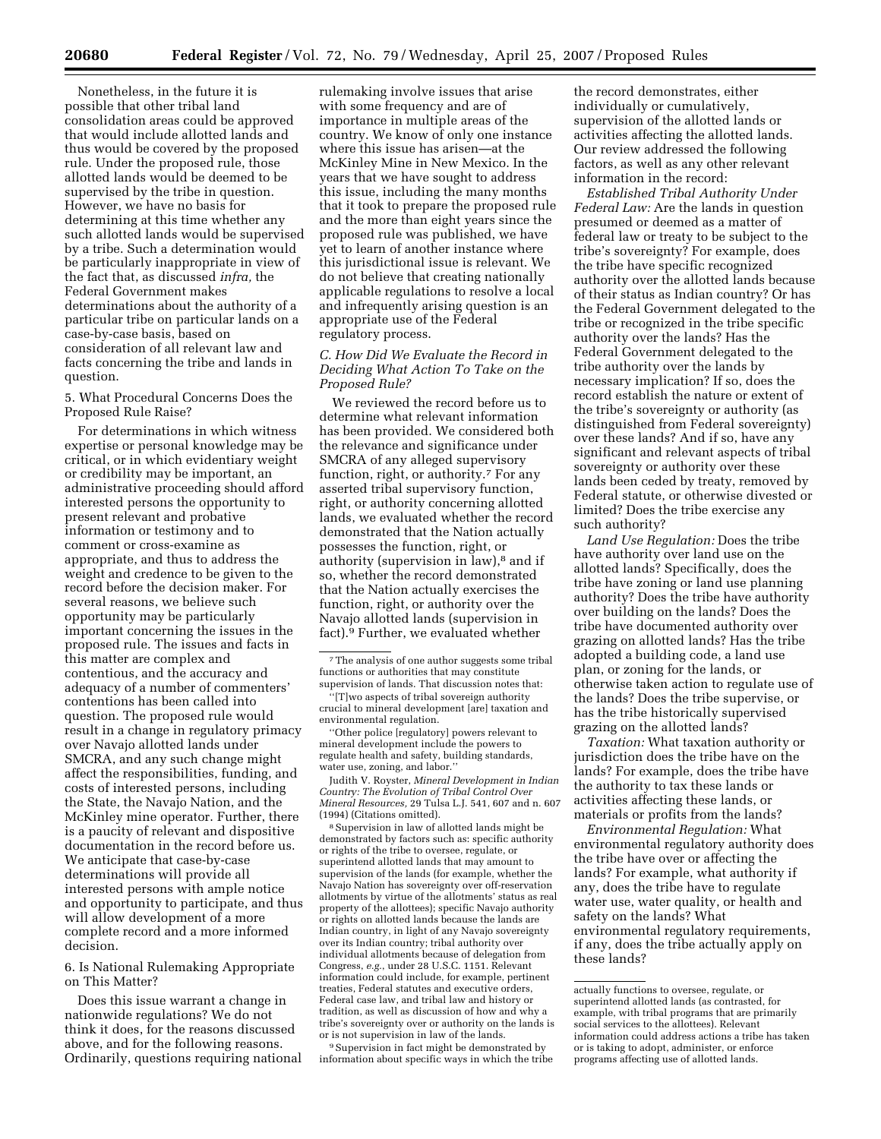Nonetheless, in the future it is possible that other tribal land consolidation areas could be approved that would include allotted lands and thus would be covered by the proposed rule. Under the proposed rule, those allotted lands would be deemed to be supervised by the tribe in question. However, we have no basis for determining at this time whether any such allotted lands would be supervised by a tribe. Such a determination would be particularly inappropriate in view of the fact that, as discussed *infra,* the Federal Government makes determinations about the authority of a particular tribe on particular lands on a case-by-case basis, based on consideration of all relevant law and facts concerning the tribe and lands in question.

5. What Procedural Concerns Does the Proposed Rule Raise?

For determinations in which witness expertise or personal knowledge may be critical, or in which evidentiary weight or credibility may be important, an administrative proceeding should afford interested persons the opportunity to present relevant and probative information or testimony and to comment or cross-examine as appropriate, and thus to address the weight and credence to be given to the record before the decision maker. For several reasons, we believe such opportunity may be particularly important concerning the issues in the proposed rule. The issues and facts in this matter are complex and contentious, and the accuracy and adequacy of a number of commenters' contentions has been called into question. The proposed rule would result in a change in regulatory primacy over Navajo allotted lands under SMCRA, and any such change might affect the responsibilities, funding, and costs of interested persons, including the State, the Navajo Nation, and the McKinley mine operator. Further, there is a paucity of relevant and dispositive documentation in the record before us. We anticipate that case-by-case determinations will provide all interested persons with ample notice and opportunity to participate, and thus will allow development of a more complete record and a more informed decision.

6. Is National Rulemaking Appropriate on This Matter?

Does this issue warrant a change in nationwide regulations? We do not think it does, for the reasons discussed above, and for the following reasons. Ordinarily, questions requiring national

rulemaking involve issues that arise with some frequency and are of importance in multiple areas of the country. We know of only one instance where this issue has arisen—at the McKinley Mine in New Mexico. In the years that we have sought to address this issue, including the many months that it took to prepare the proposed rule and the more than eight years since the proposed rule was published, we have yet to learn of another instance where this jurisdictional issue is relevant. We do not believe that creating nationally applicable regulations to resolve a local and infrequently arising question is an appropriate use of the Federal regulatory process.

### *C. How Did We Evaluate the Record in Deciding What Action To Take on the Proposed Rule?*

We reviewed the record before us to determine what relevant information has been provided. We considered both the relevance and significance under SMCRA of any alleged supervisory function, right, or authority.7 For any asserted tribal supervisory function, right, or authority concerning allotted lands, we evaluated whether the record demonstrated that the Nation actually possesses the function, right, or authority (supervision in law),<sup>8</sup> and if so, whether the record demonstrated that the Nation actually exercises the function, right, or authority over the Navajo allotted lands (supervision in fact).9 Further, we evaluated whether

''[T]wo aspects of tribal sovereign authority crucial to mineral development [are] taxation and environmental regulation.

''Other police [regulatory] powers relevant to mineral development include the powers to regulate health and safety, building standards, water use, zoning, and labor.''

Judith V. Royster, *Mineral Development in Indian Country: The Evolution of Tribal Control Over Mineral Resources,* 29 Tulsa L.J. 541, 607 and n. 607 (1994) (Citations omitted).

8Supervision in law of allotted lands might be demonstrated by factors such as: specific authority or rights of the tribe to oversee, regulate, or superintend allotted lands that may amount to supervision of the lands (for example, whether the Navajo Nation has sovereignty over off-reservation allotments by virtue of the allotments' status as real property of the allottees); specific Navajo authority or rights on allotted lands because the lands are Indian country, in light of any Navajo sovereignty over its Indian country; tribal authority over individual allotments because of delegation from Congress, *e.g.*, under 28 U.S.C. 1151. Relevant information could include, for example, pertinent treaties, Federal statutes and executive orders, Federal case law, and tribal law and history or tradition, as well as discussion of how and why a tribe's sovereignty over or authority on the lands is or is not supervision in law of the lands.

9Supervision in fact might be demonstrated by information about specific ways in which the tribe

the record demonstrates, either individually or cumulatively, supervision of the allotted lands or activities affecting the allotted lands. Our review addressed the following factors, as well as any other relevant information in the record:

*Established Tribal Authority Under Federal Law:* Are the lands in question presumed or deemed as a matter of federal law or treaty to be subject to the tribe's sovereignty? For example, does the tribe have specific recognized authority over the allotted lands because of their status as Indian country? Or has the Federal Government delegated to the tribe or recognized in the tribe specific authority over the lands? Has the Federal Government delegated to the tribe authority over the lands by necessary implication? If so, does the record establish the nature or extent of the tribe's sovereignty or authority (as distinguished from Federal sovereignty) over these lands? And if so, have any significant and relevant aspects of tribal sovereignty or authority over these lands been ceded by treaty, removed by Federal statute, or otherwise divested or limited? Does the tribe exercise any such authority?

*Land Use Regulation:* Does the tribe have authority over land use on the allotted lands? Specifically, does the tribe have zoning or land use planning authority? Does the tribe have authority over building on the lands? Does the tribe have documented authority over grazing on allotted lands? Has the tribe adopted a building code, a land use plan, or zoning for the lands, or otherwise taken action to regulate use of the lands? Does the tribe supervise, or has the tribe historically supervised grazing on the allotted lands?

*Taxation:* What taxation authority or jurisdiction does the tribe have on the lands? For example, does the tribe have the authority to tax these lands or activities affecting these lands, or materials or profits from the lands?

*Environmental Regulation:* What environmental regulatory authority does the tribe have over or affecting the lands? For example, what authority if any, does the tribe have to regulate water use, water quality, or health and safety on the lands? What environmental regulatory requirements, if any, does the tribe actually apply on these lands?

<sup>7</sup>The analysis of one author suggests some tribal functions or authorities that may constitute supervision of lands. That discussion notes that:

actually functions to oversee, regulate, or superintend allotted lands (as contrasted, for example, with tribal programs that are primarily social services to the allottees). Relevant information could address actions a tribe has taken or is taking to adopt, administer, or enforce programs affecting use of allotted lands.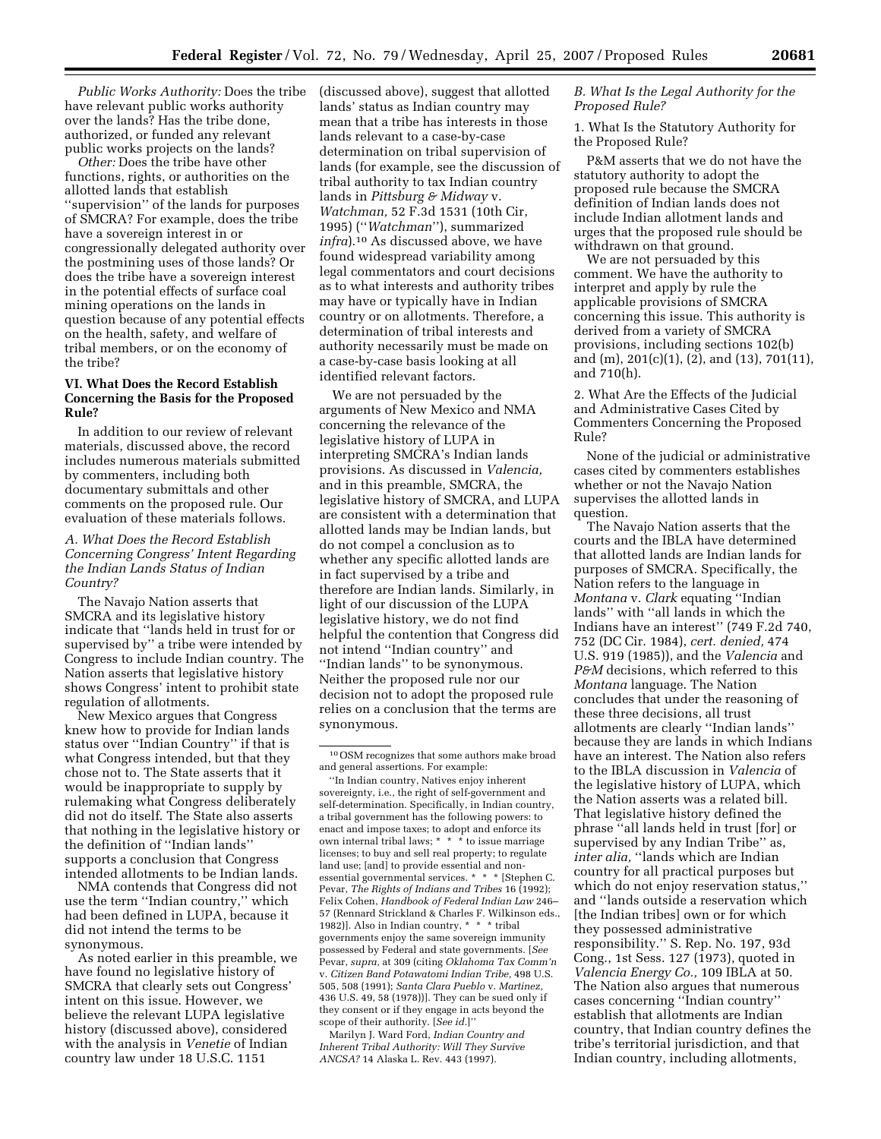*Public Works Authority:* Does the tribe have relevant public works authority over the lands? Has the tribe done, authorized, or funded any relevant public works projects on the lands?

*Other:* Does the tribe have other functions, rights, or authorities on the allotted lands that establish ''supervision'' of the lands for purposes of SMCRA? For example, does the tribe have a sovereign interest in or congressionally delegated authority over the postmining uses of those lands? Or does the tribe have a sovereign interest in the potential effects of surface coal mining operations on the lands in question because of any potential effects on the health, safety, and welfare of tribal members, or on the economy of the tribe?

## **VI. What Does the Record Establish Concerning the Basis for the Proposed Rule?**

In addition to our review of relevant materials, discussed above, the record includes numerous materials submitted by commenters, including both documentary submittals and other comments on the proposed rule. Our evaluation of these materials follows.

*A. What Does the Record Establish Concerning Congress' Intent Regarding the Indian Lands Status of Indian Country?* 

The Navajo Nation asserts that SMCRA and its legislative history indicate that ''lands held in trust for or supervised by'' a tribe were intended by Congress to include Indian country. The Nation asserts that legislative history shows Congress' intent to prohibit state regulation of allotments.

New Mexico argues that Congress knew how to provide for Indian lands status over ''Indian Country'' if that is what Congress intended, but that they chose not to. The State asserts that it would be inappropriate to supply by rulemaking what Congress deliberately did not do itself. The State also asserts that nothing in the legislative history or the definition of ''Indian lands'' supports a conclusion that Congress intended allotments to be Indian lands.

NMA contends that Congress did not use the term ''Indian country,'' which had been defined in LUPA, because it did not intend the terms to be synonymous.

As noted earlier in this preamble, we have found no legislative history of SMCRA that clearly sets out Congress' intent on this issue. However, we believe the relevant LUPA legislative history (discussed above), considered with the analysis in *Venetie* of Indian country law under 18 U.S.C. 1151

(discussed above), suggest that allotted lands' status as Indian country may mean that a tribe has interests in those lands relevant to a case-by-case determination on tribal supervision of lands (for example, see the discussion of tribal authority to tax Indian country lands in *Pittsburg & Midway* v. *Watchman,* 52 F.3d 1531 (10th Cir, 1995) (''*Watchman*''), summarized *infra*).10 As discussed above, we have found widespread variability among legal commentators and court decisions as to what interests and authority tribes may have or typically have in Indian country or on allotments. Therefore, a determination of tribal interests and authority necessarily must be made on a case-by-case basis looking at all identified relevant factors.

We are not persuaded by the arguments of New Mexico and NMA concerning the relevance of the legislative history of LUPA in interpreting SMCRA's Indian lands provisions. As discussed in *Valencia,*  and in this preamble, SMCRA, the legislative history of SMCRA, and LUPA are consistent with a determination that allotted lands may be Indian lands, but do not compel a conclusion as to whether any specific allotted lands are in fact supervised by a tribe and therefore are Indian lands. Similarly, in light of our discussion of the LUPA legislative history, we do not find helpful the contention that Congress did not intend ''Indian country'' and ''Indian lands'' to be synonymous. Neither the proposed rule nor our decision not to adopt the proposed rule relies on a conclusion that the terms are synonymous.

''In Indian country, Natives enjoy inherent sovereignty, i.e., the right of self-government and self-determination. Specifically, in Indian country, a tribal government has the following powers: to enact and impose taxes; to adopt and enforce its own internal tribal laws; \* \* \* to issue marriage licenses; to buy and sell real property; to regulate land use; [and] to provide essential and nonessential governmental services. \* \* \* [Stephen C. Pevar, *The Rights of Indians and Tribes* 16 (1992); Felix Cohen, *Handbook of Federal Indian Law* 246– 57 (Rennard Strickland & Charles F. Wilkinson eds., 1982)]. Also in Indian country, \* \* \* tribal governments enjoy the same sovereign immunity possessed by Federal and state governments. [*See*  Pevar, *supra,* at 309 (citing *Oklahoma Tax Comm'n*  v. *Citizen Band Potawatomi Indian Tribe,* 498 U.S. 505, 508 (1991); *Santa Clara Pueblo* v. *Martinez,*  436 U.S. 49, 58 (1978))]. They can be sued only if they consent or if they engage in acts beyond the scope of their authority. [*See id.*]''

Marilyn J. Ward Ford, *Indian Country and Inherent Tribal Authority: Will They Survive ANCSA?* 14 Alaska L. Rev. 443 (1997).

## *B. What Is the Legal Authority for the Proposed Rule?*

1. What Is the Statutory Authority for the Proposed Rule?

P&M asserts that we do not have the statutory authority to adopt the proposed rule because the SMCRA definition of Indian lands does not include Indian allotment lands and urges that the proposed rule should be withdrawn on that ground.

We are not persuaded by this comment. We have the authority to interpret and apply by rule the applicable provisions of SMCRA concerning this issue. This authority is derived from a variety of SMCRA provisions, including sections 102(b) and (m), 201(c)(1), (2), and (13), 701(11), and 710(h).

2. What Are the Effects of the Judicial and Administrative Cases Cited by Commenters Concerning the Proposed Rule?

None of the judicial or administrative cases cited by commenters establishes whether or not the Navajo Nation supervises the allotted lands in question.

The Navajo Nation asserts that the courts and the IBLA have determined that allotted lands are Indian lands for purposes of SMCRA. Specifically, the Nation refers to the language in *Montana* v. *Clark* equating ''Indian lands'' with ''all lands in which the Indians have an interest'' (749 F.2d 740, 752 (DC Cir. 1984), *cert. denied,* 474 U.S. 919 (1985)), and the *Valencia* and *P&M* decisions, which referred to this *Montana* language. The Nation concludes that under the reasoning of these three decisions, all trust allotments are clearly ''Indian lands'' because they are lands in which Indians have an interest. The Nation also refers to the IBLA discussion in *Valencia* of the legislative history of LUPA, which the Nation asserts was a related bill. That legislative history defined the phrase ''all lands held in trust [for] or supervised by any Indian Tribe'' as, *inter alia*, "lands which are Indian country for all practical purposes but which do not enjoy reservation status,'' and ''lands outside a reservation which [the Indian tribes] own or for which they possessed administrative responsibility.'' S. Rep. No. 197, 93d Cong., 1st Sess. 127 (1973), quoted in *Valencia Energy Co.,* 109 IBLA at 50. The Nation also argues that numerous cases concerning ''Indian country'' establish that allotments are Indian country, that Indian country defines the tribe's territorial jurisdiction, and that Indian country, including allotments,

<sup>10</sup>OSM recognizes that some authors make broad and general assertions. For example: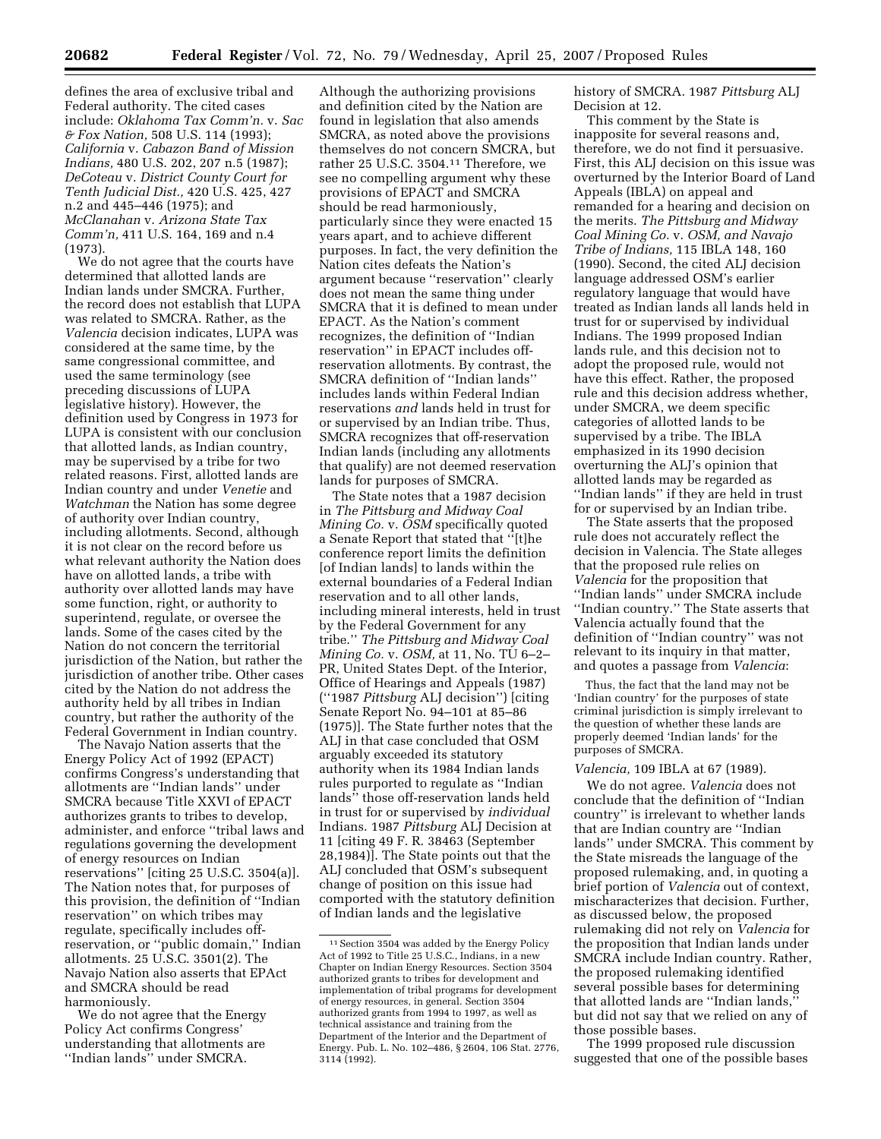defines the area of exclusive tribal and Federal authority. The cited cases include: *Oklahoma Tax Comm'n.* v. *Sac & Fox Nation,* 508 U.S. 114 (1993); *California* v. *Cabazon Band of Mission Indians,* 480 U.S. 202, 207 n.5 (1987); *DeCoteau* v. *District County Court for Tenth Judicial Dist.,* 420 U.S. 425, 427 n.2 and 445–446 (1975); and *McClanahan* v. *Arizona State Tax Comm'n,* 411 U.S. 164, 169 and n.4 (1973).

We do not agree that the courts have determined that allotted lands are Indian lands under SMCRA. Further, the record does not establish that LUPA was related to SMCRA. Rather, as the *Valencia* decision indicates, LUPA was considered at the same time, by the same congressional committee, and used the same terminology (see preceding discussions of LUPA legislative history). However, the definition used by Congress in 1973 for LUPA is consistent with our conclusion that allotted lands, as Indian country, may be supervised by a tribe for two related reasons. First, allotted lands are Indian country and under *Venetie* and *Watchman* the Nation has some degree of authority over Indian country, including allotments. Second, although it is not clear on the record before us what relevant authority the Nation does have on allotted lands, a tribe with authority over allotted lands may have some function, right, or authority to superintend, regulate, or oversee the lands. Some of the cases cited by the Nation do not concern the territorial jurisdiction of the Nation, but rather the jurisdiction of another tribe. Other cases cited by the Nation do not address the authority held by all tribes in Indian country, but rather the authority of the Federal Government in Indian country.

The Navajo Nation asserts that the Energy Policy Act of 1992 (EPACT) confirms Congress's understanding that allotments are ''Indian lands'' under SMCRA because Title XXVI of EPACT authorizes grants to tribes to develop, administer, and enforce ''tribal laws and regulations governing the development of energy resources on Indian reservations'' [citing 25 U.S.C. 3504(a)]. The Nation notes that, for purposes of this provision, the definition of ''Indian reservation'' on which tribes may regulate, specifically includes offreservation, or ''public domain,'' Indian allotments. 25 U.S.C. 3501(2). The Navajo Nation also asserts that EPAct and SMCRA should be read harmoniously.

We do not agree that the Energy Policy Act confirms Congress' understanding that allotments are ''Indian lands'' under SMCRA.

Although the authorizing provisions and definition cited by the Nation are found in legislation that also amends SMCRA, as noted above the provisions themselves do not concern SMCRA, but rather 25 U.S.C. 3504.11 Therefore, we see no compelling argument why these provisions of EPACT and SMCRA should be read harmoniously, particularly since they were enacted 15 years apart, and to achieve different purposes. In fact, the very definition the Nation cites defeats the Nation's argument because ''reservation'' clearly does not mean the same thing under SMCRA that it is defined to mean under EPACT. As the Nation's comment recognizes, the definition of ''Indian reservation'' in EPACT includes offreservation allotments. By contrast, the SMCRA definition of ''Indian lands'' includes lands within Federal Indian reservations *and* lands held in trust for or supervised by an Indian tribe. Thus, SMCRA recognizes that off-reservation Indian lands (including any allotments that qualify) are not deemed reservation lands for purposes of SMCRA.

The State notes that a 1987 decision in *The Pittsburg and Midway Coal Mining Co.* v. *OSM* specifically quoted a Senate Report that stated that ''[t]he conference report limits the definition [of Indian lands] to lands within the external boundaries of a Federal Indian reservation and to all other lands, including mineral interests, held in trust by the Federal Government for any tribe.'' *The Pittsburg and Midway Coal Mining Co.* v. *OSM,* at 11, No. TU 6–2– PR, United States Dept. of the Interior, Office of Hearings and Appeals (1987) (''1987 *Pittsburg* ALJ decision'') [citing Senate Report No. 94–101 at 85–86 (1975)]. The State further notes that the ALJ in that case concluded that OSM arguably exceeded its statutory authority when its 1984 Indian lands rules purported to regulate as ''Indian lands'' those off-reservation lands held in trust for or supervised by *individual*  Indians. 1987 *Pittsburg* ALJ Decision at 11 [citing 49 F. R. 38463 (September 28,1984)]. The State points out that the ALJ concluded that OSM's subsequent change of position on this issue had comported with the statutory definition of Indian lands and the legislative

history of SMCRA. 1987 *Pittsburg* ALJ Decision at 12.

This comment by the State is inapposite for several reasons and, therefore, we do not find it persuasive. First, this ALJ decision on this issue was overturned by the Interior Board of Land Appeals (IBLA) on appeal and remanded for a hearing and decision on the merits. *The Pittsburg and Midway Coal Mining Co.* v. *OSM, and Navajo Tribe of Indians,* 115 IBLA 148, 160 (1990). Second, the cited ALJ decision language addressed OSM's earlier regulatory language that would have treated as Indian lands all lands held in trust for or supervised by individual Indians. The 1999 proposed Indian lands rule, and this decision not to adopt the proposed rule, would not have this effect. Rather, the proposed rule and this decision address whether, under SMCRA, we deem specific categories of allotted lands to be supervised by a tribe. The IBLA emphasized in its 1990 decision overturning the ALJ's opinion that allotted lands may be regarded as ''Indian lands'' if they are held in trust for or supervised by an Indian tribe.

The State asserts that the proposed rule does not accurately reflect the decision in Valencia. The State alleges that the proposed rule relies on *Valencia* for the proposition that ''Indian lands'' under SMCRA include ''Indian country.'' The State asserts that Valencia actually found that the definition of ''Indian country'' was not relevant to its inquiry in that matter, and quotes a passage from *Valencia*:

Thus, the fact that the land may not be 'Indian country' for the purposes of state criminal jurisdiction is simply irrelevant to the question of whether these lands are properly deemed 'Indian lands' for the purposes of SMCRA.

#### *Valencia,* 109 IBLA at 67 (1989).

We do not agree. *Valencia* does not conclude that the definition of ''Indian country'' is irrelevant to whether lands that are Indian country are ''Indian lands'' under SMCRA. This comment by the State misreads the language of the proposed rulemaking, and, in quoting a brief portion of *Valencia* out of context, mischaracterizes that decision. Further, as discussed below, the proposed rulemaking did not rely on *Valencia* for the proposition that Indian lands under SMCRA include Indian country. Rather, the proposed rulemaking identified several possible bases for determining that allotted lands are ''Indian lands,'' but did not say that we relied on any of those possible bases.

The 1999 proposed rule discussion suggested that one of the possible bases

<sup>11</sup>Section 3504 was added by the Energy Policy Act of 1992 to Title 25 U.S.C., Indians, in a new Chapter on Indian Energy Resources. Section 3504 authorized grants to tribes for development and implementation of tribal programs for development of energy resources, in general. Section 3504 authorized grants from 1994 to 1997, as well as technical assistance and training from the Department of the Interior and the Department of Energy. Pub. L. No. 102–486, § 2604, 106 Stat. 2776, 3114 (1992).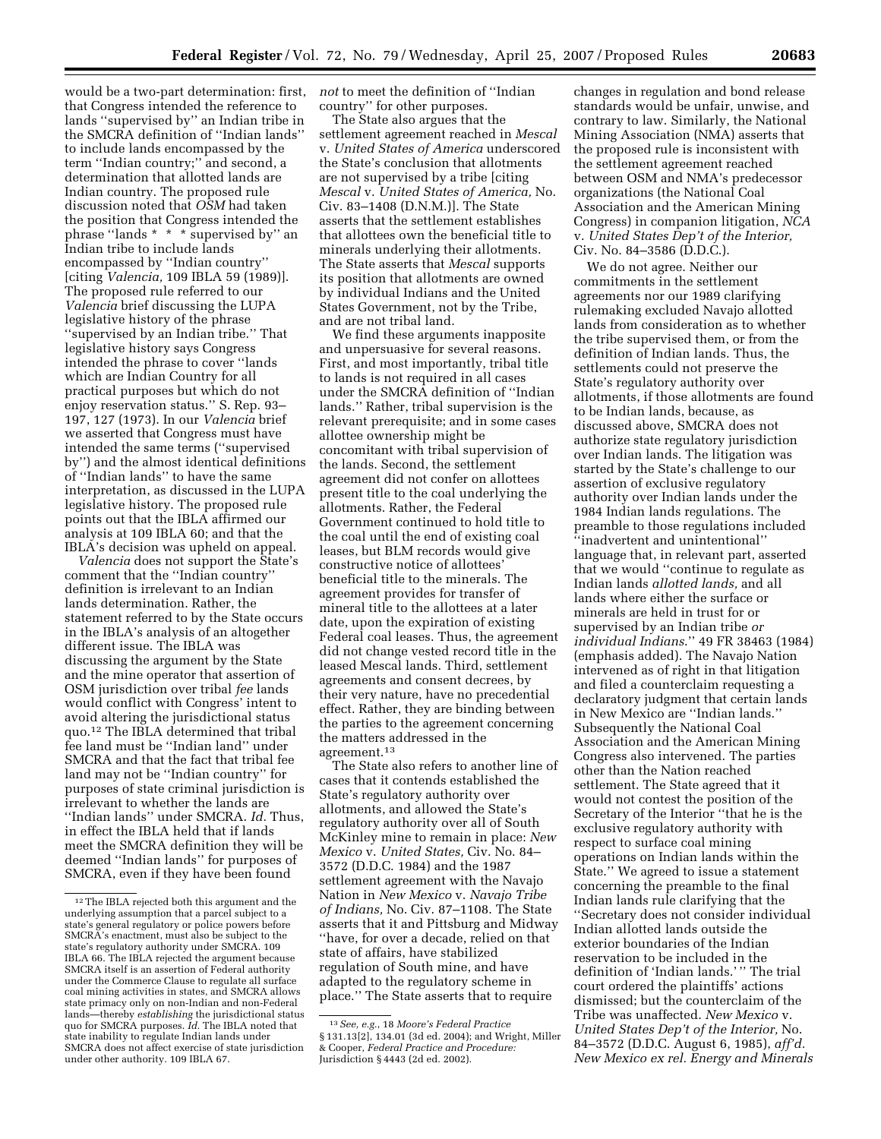would be a two-part determination: first, that Congress intended the reference to lands ''supervised by'' an Indian tribe in the SMCRA definition of ''Indian lands'' to include lands encompassed by the term ''Indian country;'' and second, a determination that allotted lands are Indian country. The proposed rule discussion noted that *OSM* had taken the position that Congress intended the phrase ''lands \* \* \* supervised by'' an Indian tribe to include lands encompassed by ''Indian country'' [citing *Valencia,* 109 IBLA 59 (1989)]. The proposed rule referred to our *Valencia* brief discussing the LUPA legislative history of the phrase ''supervised by an Indian tribe.'' That legislative history says Congress intended the phrase to cover ''lands which are Indian Country for all practical purposes but which do not enjoy reservation status.'' S. Rep. 93– 197, 127 (1973). In our *Valencia* brief we asserted that Congress must have intended the same terms (''supervised by'') and the almost identical definitions of ''Indian lands'' to have the same interpretation, as discussed in the LUPA legislative history. The proposed rule points out that the IBLA affirmed our analysis at 109 IBLA 60; and that the IBLA's decision was upheld on appeal.

*Valencia* does not support the State's comment that the ''Indian country'' definition is irrelevant to an Indian lands determination. Rather, the statement referred to by the State occurs in the IBLA's analysis of an altogether different issue. The IBLA was discussing the argument by the State and the mine operator that assertion of OSM jurisdiction over tribal *fee* lands would conflict with Congress' intent to avoid altering the jurisdictional status quo.12 The IBLA determined that tribal fee land must be ''Indian land'' under SMCRA and that the fact that tribal fee land may not be ''Indian country'' for purposes of state criminal jurisdiction is irrelevant to whether the lands are ''Indian lands'' under SMCRA. *Id.* Thus, in effect the IBLA held that if lands meet the SMCRA definition they will be deemed ''Indian lands'' for purposes of SMCRA, even if they have been found

*not* to meet the definition of ''Indian country'' for other purposes.

The State also argues that the settlement agreement reached in *Mescal*  v. *United States of America* underscored the State's conclusion that allotments are not supervised by a tribe [citing *Mescal* v. *United States of America,* No. Civ. 83–1408 (D.N.M.)]. The State asserts that the settlement establishes that allottees own the beneficial title to minerals underlying their allotments. The State asserts that *Mescal* supports its position that allotments are owned by individual Indians and the United States Government, not by the Tribe, and are not tribal land.

We find these arguments inapposite and unpersuasive for several reasons. First, and most importantly, tribal title to lands is not required in all cases under the SMCRA definition of ''Indian lands.'' Rather, tribal supervision is the relevant prerequisite; and in some cases allottee ownership might be concomitant with tribal supervision of the lands. Second, the settlement agreement did not confer on allottees present title to the coal underlying the allotments. Rather, the Federal Government continued to hold title to the coal until the end of existing coal leases, but BLM records would give constructive notice of allottees' beneficial title to the minerals. The agreement provides for transfer of mineral title to the allottees at a later date, upon the expiration of existing Federal coal leases. Thus, the agreement did not change vested record title in the leased Mescal lands. Third, settlement agreements and consent decrees, by their very nature, have no precedential effect. Rather, they are binding between the parties to the agreement concerning the matters addressed in the agreement.13

The State also refers to another line of cases that it contends established the State's regulatory authority over allotments, and allowed the State's regulatory authority over all of South McKinley mine to remain in place: *New Mexico* v. *United States,* Civ. No. 84– 3572 (D.D.C. 1984) and the 1987 settlement agreement with the Navajo Nation in *New Mexico* v. *Navajo Tribe of Indians,* No. Civ. 87–1108. The State asserts that it and Pittsburg and Midway ''have, for over a decade, relied on that state of affairs, have stabilized regulation of South mine, and have adapted to the regulatory scheme in place.'' The State asserts that to require

changes in regulation and bond release standards would be unfair, unwise, and contrary to law. Similarly, the National Mining Association (NMA) asserts that the proposed rule is inconsistent with the settlement agreement reached between OSM and NMA's predecessor organizations (the National Coal Association and the American Mining Congress) in companion litigation, *NCA*  v. *United States Dep't of the Interior,*  Civ. No. 84–3586 (D.D.C.).

We do not agree. Neither our commitments in the settlement agreements nor our 1989 clarifying rulemaking excluded Navajo allotted lands from consideration as to whether the tribe supervised them, or from the definition of Indian lands. Thus, the settlements could not preserve the State's regulatory authority over allotments, if those allotments are found to be Indian lands, because, as discussed above, SMCRA does not authorize state regulatory jurisdiction over Indian lands. The litigation was started by the State's challenge to our assertion of exclusive regulatory authority over Indian lands under the 1984 Indian lands regulations. The preamble to those regulations included ''inadvertent and unintentional'' language that, in relevant part, asserted that we would ''continue to regulate as Indian lands *allotted lands,* and all lands where either the surface or minerals are held in trust for or supervised by an Indian tribe *or individual Indians*.'' 49 FR 38463 (1984) (emphasis added). The Navajo Nation intervened as of right in that litigation and filed a counterclaim requesting a declaratory judgment that certain lands in New Mexico are ''Indian lands.'' Subsequently the National Coal Association and the American Mining Congress also intervened. The parties other than the Nation reached settlement. The State agreed that it would not contest the position of the Secretary of the Interior ''that he is the exclusive regulatory authority with respect to surface coal mining operations on Indian lands within the State.'' We agreed to issue a statement concerning the preamble to the final Indian lands rule clarifying that the ''Secretary does not consider individual Indian allotted lands outside the exterior boundaries of the Indian reservation to be included in the definition of 'Indian lands.' '' The trial court ordered the plaintiffs' actions dismissed; but the counterclaim of the Tribe was unaffected. *New Mexico* v. *United States Dep't of the Interior,* No. 84–3572 (D.D.C. August 6, 1985), *aff'd. New Mexico ex rel. Energy and Minerals* 

<sup>12</sup>The IBLA rejected both this argument and the underlying assumption that a parcel subject to a state's general regulatory or police powers before SMCRA's enactment, must also be subject to the state's regulatory authority under SMCRA. 109 IBLA 66. The IBLA rejected the argument because SMCRA itself is an assertion of Federal authority under the Commerce Clause to regulate all surface coal mining activities in states, and SMCRA allows state primacy only on non-Indian and non-Federal lands—thereby *establishing* the jurisdictional status quo for SMCRA purposes. *Id.* The IBLA noted that state inability to regulate Indian lands under SMCRA does not affect exercise of state jurisdiction under other authority. 109 IBLA 67.

<sup>13</sup>*See, e.g.*, 18 *Moore's Federal Practice*  § 131.13[2], 134.01 (3d ed. 2004); and Wright, Miller & Cooper, *Federal Practice and Procedure:*  Jurisdiction § 4443 (2d ed. 2002).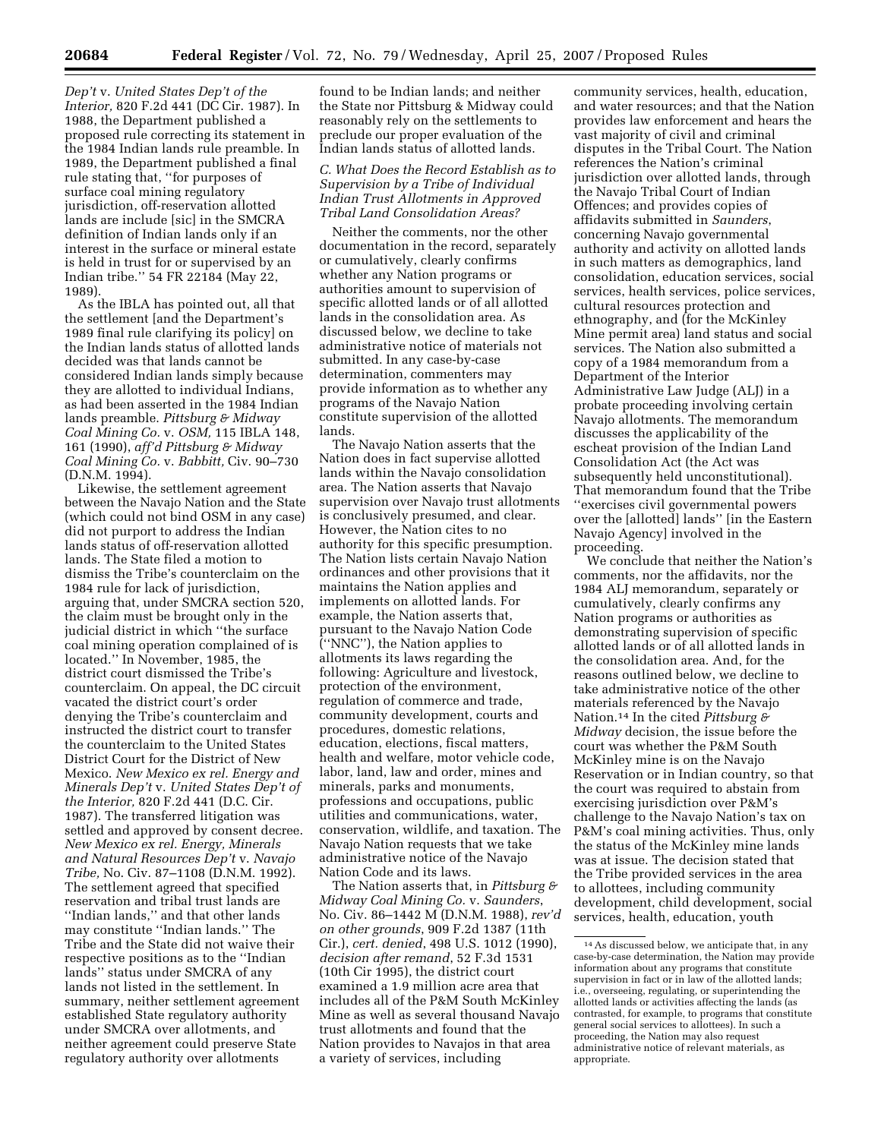*Dep't* v. *United States Dep't of the Interior,* 820 F.2d 441 (DC Cir. 1987). In 1988, the Department published a proposed rule correcting its statement in the 1984 Indian lands rule preamble. In 1989, the Department published a final rule stating that, ''for purposes of surface coal mining regulatory jurisdiction, off-reservation allotted lands are include [sic] in the SMCRA definition of Indian lands only if an interest in the surface or mineral estate is held in trust for or supervised by an Indian tribe.'' 54 FR 22184 (May 22,

1989). As the IBLA has pointed out, all that the settlement [and the Department's 1989 final rule clarifying its policy] on the Indian lands status of allotted lands decided was that lands cannot be considered Indian lands simply because they are allotted to individual Indians, as had been asserted in the 1984 Indian lands preamble. *Pittsburg & Midway Coal Mining Co.* v. *OSM,* 115 IBLA 148, 161 (1990), *aff'd Pittsburg & Midway Coal Mining Co.* v. *Babbitt,* Civ. 90–730 (D.N.M. 1994).

Likewise, the settlement agreement between the Navajo Nation and the State (which could not bind OSM in any case) did not purport to address the Indian lands status of off-reservation allotted lands. The State filed a motion to dismiss the Tribe's counterclaim on the 1984 rule for lack of jurisdiction, arguing that, under SMCRA section 520, the claim must be brought only in the judicial district in which ''the surface coal mining operation complained of is located.'' In November, 1985, the district court dismissed the Tribe's counterclaim. On appeal, the DC circuit vacated the district court's order denying the Tribe's counterclaim and instructed the district court to transfer the counterclaim to the United States District Court for the District of New Mexico. *New Mexico ex rel. Energy and Minerals Dep't* v. *United States Dep't of the Interior,* 820 F.2d 441 (D.C. Cir. 1987). The transferred litigation was settled and approved by consent decree. *New Mexico ex rel. Energy, Minerals and Natural Resources Dep't* v. *Navajo Tribe,* No. Civ. 87–1108 (D.N.M. 1992). The settlement agreed that specified reservation and tribal trust lands are ''Indian lands,'' and that other lands may constitute ''Indian lands.'' The Tribe and the State did not waive their respective positions as to the ''Indian lands'' status under SMCRA of any lands not listed in the settlement. In summary, neither settlement agreement established State regulatory authority under SMCRA over allotments, and neither agreement could preserve State regulatory authority over allotments

found to be Indian lands; and neither the State nor Pittsburg & Midway could reasonably rely on the settlements to preclude our proper evaluation of the Indian lands status of allotted lands.

#### *C. What Does the Record Establish as to Supervision by a Tribe of Individual Indian Trust Allotments in Approved Tribal Land Consolidation Areas?*

Neither the comments, nor the other documentation in the record, separately or cumulatively, clearly confirms whether any Nation programs or authorities amount to supervision of specific allotted lands or of all allotted lands in the consolidation area. As discussed below, we decline to take administrative notice of materials not submitted. In any case-by-case determination, commenters may provide information as to whether any programs of the Navajo Nation constitute supervision of the allotted lands.

The Navajo Nation asserts that the Nation does in fact supervise allotted lands within the Navajo consolidation area. The Nation asserts that Navajo supervision over Navajo trust allotments is conclusively presumed, and clear. However, the Nation cites to no authority for this specific presumption. The Nation lists certain Navajo Nation ordinances and other provisions that it maintains the Nation applies and implements on allotted lands. For example, the Nation asserts that, pursuant to the Navajo Nation Code (''NNC''), the Nation applies to allotments its laws regarding the following: Agriculture and livestock, protection of the environment, regulation of commerce and trade, community development, courts and procedures, domestic relations, education, elections, fiscal matters, health and welfare, motor vehicle code, labor, land, law and order, mines and minerals, parks and monuments, professions and occupations, public utilities and communications, water, conservation, wildlife, and taxation. The Navajo Nation requests that we take administrative notice of the Navajo Nation Code and its laws.

The Nation asserts that, in *Pittsburg & Midway Coal Mining Co.* v. *Saunders*, No. Civ. 86–1442 M (D.N.M. 1988), *rev'd on other grounds*, 909 F.2d 1387 (11th Cir.), *cert. denied*, 498 U.S. 1012 (1990), *decision after remand*, 52 F.3d 1531 (10th Cir 1995), the district court examined a 1.9 million acre area that includes all of the P&M South McKinley Mine as well as several thousand Navajo trust allotments and found that the Nation provides to Navajos in that area a variety of services, including

community services, health, education, and water resources; and that the Nation provides law enforcement and hears the vast majority of civil and criminal disputes in the Tribal Court. The Nation references the Nation's criminal jurisdiction over allotted lands, through the Navajo Tribal Court of Indian Offences; and provides copies of affidavits submitted in *Saunders*, concerning Navajo governmental authority and activity on allotted lands in such matters as demographics, land consolidation, education services, social services, health services, police services, cultural resources protection and ethnography, and (for the McKinley Mine permit area) land status and social services. The Nation also submitted a copy of a 1984 memorandum from a Department of the Interior Administrative Law Judge (ALJ) in a probate proceeding involving certain Navajo allotments. The memorandum discusses the applicability of the escheat provision of the Indian Land Consolidation Act (the Act was subsequently held unconstitutional). That memorandum found that the Tribe ''exercises civil governmental powers over the [allotted] lands'' [in the Eastern Navajo Agency] involved in the proceeding.

We conclude that neither the Nation's comments, nor the affidavits, nor the 1984 ALJ memorandum, separately or cumulatively, clearly confirms any Nation programs or authorities as demonstrating supervision of specific allotted lands or of all allotted lands in the consolidation area. And, for the reasons outlined below, we decline to take administrative notice of the other materials referenced by the Navajo Nation.14 In the cited *Pittsburg & Midway* decision, the issue before the court was whether the P&M South McKinley mine is on the Navajo Reservation or in Indian country, so that the court was required to abstain from exercising jurisdiction over P&M's challenge to the Navajo Nation's tax on P&M's coal mining activities. Thus, only the status of the McKinley mine lands was at issue. The decision stated that the Tribe provided services in the area to allottees, including community development, child development, social services, health, education, youth

<sup>14</sup>As discussed below, we anticipate that, in any case-by-case determination, the Nation may provide information about any programs that constitute supervision in fact or in law of the allotted lands; i.e., overseeing, regulating, or superintending the allotted lands or activities affecting the lands (as contrasted, for example, to programs that constitute general social services to allottees). In such a proceeding, the Nation may also request administrative notice of relevant materials, as appropriate.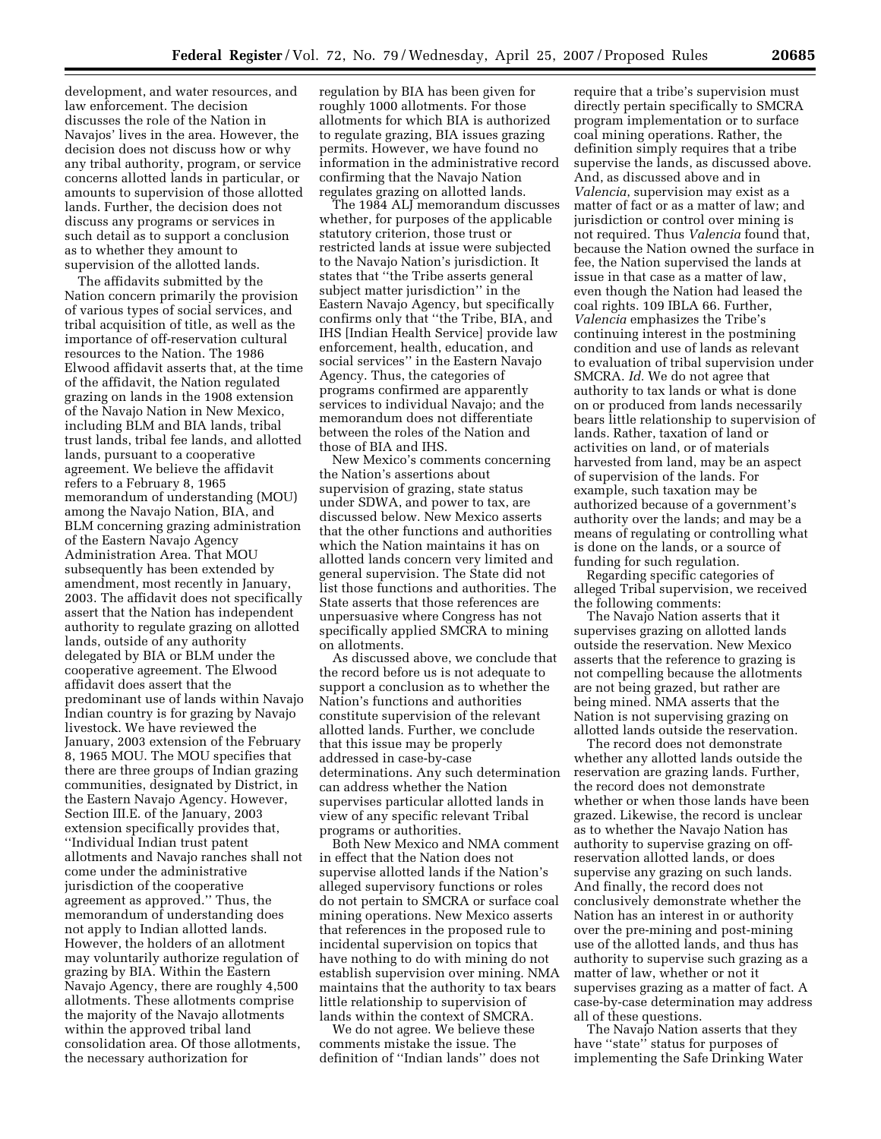development, and water resources, and law enforcement. The decision discusses the role of the Nation in Navajos' lives in the area. However, the decision does not discuss how or why any tribal authority, program, or service concerns allotted lands in particular, or amounts to supervision of those allotted lands. Further, the decision does not discuss any programs or services in such detail as to support a conclusion as to whether they amount to supervision of the allotted lands.

The affidavits submitted by the Nation concern primarily the provision of various types of social services, and tribal acquisition of title, as well as the importance of off-reservation cultural resources to the Nation. The 1986 Elwood affidavit asserts that, at the time of the affidavit, the Nation regulated grazing on lands in the 1908 extension of the Navajo Nation in New Mexico, including BLM and BIA lands, tribal trust lands, tribal fee lands, and allotted lands, pursuant to a cooperative agreement. We believe the affidavit refers to a February 8, 1965 memorandum of understanding (MOU) among the Navajo Nation, BIA, and BLM concerning grazing administration of the Eastern Navajo Agency Administration Area. That MOU subsequently has been extended by amendment, most recently in January, 2003. The affidavit does not specifically assert that the Nation has independent authority to regulate grazing on allotted lands, outside of any authority delegated by BIA or BLM under the cooperative agreement. The Elwood affidavit does assert that the predominant use of lands within Navajo Indian country is for grazing by Navajo livestock. We have reviewed the January, 2003 extension of the February 8, 1965 MOU. The MOU specifies that there are three groups of Indian grazing communities, designated by District, in the Eastern Navajo Agency. However, Section III.E. of the January, 2003 extension specifically provides that, ''Individual Indian trust patent allotments and Navajo ranches shall not come under the administrative jurisdiction of the cooperative agreement as approved.'' Thus, the memorandum of understanding does not apply to Indian allotted lands. However, the holders of an allotment may voluntarily authorize regulation of grazing by BIA. Within the Eastern Navajo Agency, there are roughly 4,500 allotments. These allotments comprise the majority of the Navajo allotments within the approved tribal land consolidation area. Of those allotments, the necessary authorization for

regulation by BIA has been given for roughly 1000 allotments. For those allotments for which BIA is authorized to regulate grazing, BIA issues grazing permits. However, we have found no information in the administrative record confirming that the Navajo Nation regulates grazing on allotted lands.

The 1984 ALJ memorandum discusses whether, for purposes of the applicable statutory criterion, those trust or restricted lands at issue were subjected to the Navajo Nation's jurisdiction. It states that ''the Tribe asserts general subject matter jurisdiction'' in the Eastern Navajo Agency, but specifically confirms only that ''the Tribe, BIA, and IHS [Indian Health Service] provide law enforcement, health, education, and social services'' in the Eastern Navajo Agency. Thus, the categories of programs confirmed are apparently services to individual Navajo; and the memorandum does not differentiate between the roles of the Nation and those of BIA and IHS.

New Mexico's comments concerning the Nation's assertions about supervision of grazing, state status under SDWA, and power to tax, are discussed below. New Mexico asserts that the other functions and authorities which the Nation maintains it has on allotted lands concern very limited and general supervision. The State did not list those functions and authorities. The State asserts that those references are unpersuasive where Congress has not specifically applied SMCRA to mining on allotments.

As discussed above, we conclude that the record before us is not adequate to support a conclusion as to whether the Nation's functions and authorities constitute supervision of the relevant allotted lands. Further, we conclude that this issue may be properly addressed in case-by-case determinations. Any such determination can address whether the Nation supervises particular allotted lands in view of any specific relevant Tribal programs or authorities.

Both New Mexico and NMA comment in effect that the Nation does not supervise allotted lands if the Nation's alleged supervisory functions or roles do not pertain to SMCRA or surface coal mining operations. New Mexico asserts that references in the proposed rule to incidental supervision on topics that have nothing to do with mining do not establish supervision over mining. NMA maintains that the authority to tax bears little relationship to supervision of lands within the context of SMCRA.

We do not agree. We believe these comments mistake the issue. The definition of ''Indian lands'' does not require that a tribe's supervision must directly pertain specifically to SMCRA program implementation or to surface coal mining operations. Rather, the definition simply requires that a tribe supervise the lands, as discussed above. And, as discussed above and in *Valencia*, supervision may exist as a matter of fact or as a matter of law; and jurisdiction or control over mining is not required. Thus *Valencia* found that, because the Nation owned the surface in fee, the Nation supervised the lands at issue in that case as a matter of law, even though the Nation had leased the coal rights. 109 IBLA 66. Further, *Valencia* emphasizes the Tribe's continuing interest in the postmining condition and use of lands as relevant to evaluation of tribal supervision under SMCRA. *Id.* We do not agree that authority to tax lands or what is done on or produced from lands necessarily bears little relationship to supervision of lands. Rather, taxation of land or activities on land, or of materials harvested from land, may be an aspect of supervision of the lands. For example, such taxation may be authorized because of a government's authority over the lands; and may be a means of regulating or controlling what is done on the lands, or a source of funding for such regulation.

Regarding specific categories of alleged Tribal supervision, we received the following comments:

The Navajo Nation asserts that it supervises grazing on allotted lands outside the reservation. New Mexico asserts that the reference to grazing is not compelling because the allotments are not being grazed, but rather are being mined. NMA asserts that the Nation is not supervising grazing on allotted lands outside the reservation.

The record does not demonstrate whether any allotted lands outside the reservation are grazing lands. Further, the record does not demonstrate whether or when those lands have been grazed. Likewise, the record is unclear as to whether the Navajo Nation has authority to supervise grazing on offreservation allotted lands, or does supervise any grazing on such lands. And finally, the record does not conclusively demonstrate whether the Nation has an interest in or authority over the pre-mining and post-mining use of the allotted lands, and thus has authority to supervise such grazing as a matter of law, whether or not it supervises grazing as a matter of fact. A case-by-case determination may address all of these questions.

The Navajo Nation asserts that they have "state" status for purposes of implementing the Safe Drinking Water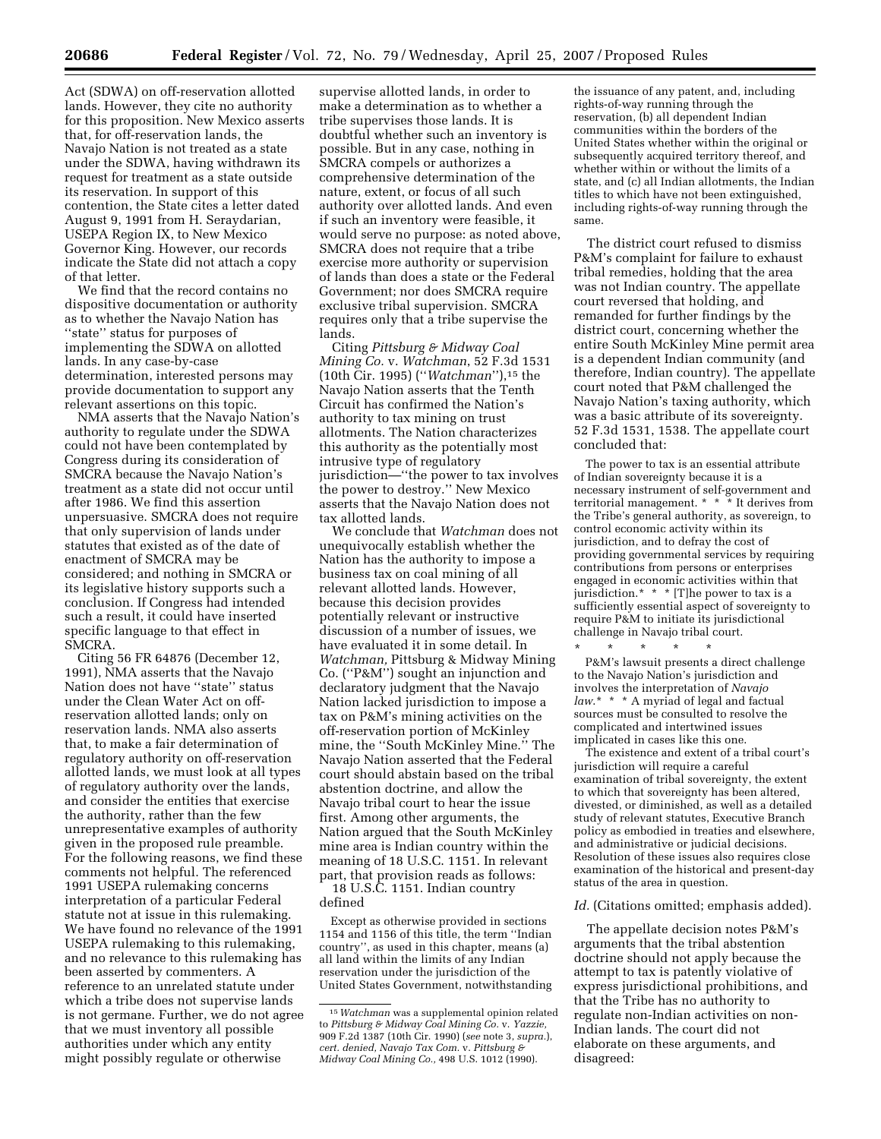Act (SDWA) on off-reservation allotted lands. However, they cite no authority for this proposition. New Mexico asserts that, for off-reservation lands, the Navajo Nation is not treated as a state under the SDWA, having withdrawn its request for treatment as a state outside its reservation. In support of this contention, the State cites a letter dated August 9, 1991 from H. Seraydarian, USEPA Region IX, to New Mexico Governor King. However, our records indicate the State did not attach a copy of that letter.

We find that the record contains no dispositive documentation or authority as to whether the Navajo Nation has ''state'' status for purposes of implementing the SDWA on allotted lands. In any case-by-case determination, interested persons may provide documentation to support any relevant assertions on this topic.

NMA asserts that the Navajo Nation's authority to regulate under the SDWA could not have been contemplated by Congress during its consideration of SMCRA because the Navajo Nation's treatment as a state did not occur until after 1986. We find this assertion unpersuasive. SMCRA does not require that only supervision of lands under statutes that existed as of the date of enactment of SMCRA may be considered; and nothing in SMCRA or its legislative history supports such a conclusion. If Congress had intended such a result, it could have inserted specific language to that effect in SMCRA.

Citing 56 FR 64876 (December 12, 1991), NMA asserts that the Navajo Nation does not have ''state'' status under the Clean Water Act on offreservation allotted lands; only on reservation lands. NMA also asserts that, to make a fair determination of regulatory authority on off-reservation allotted lands, we must look at all types of regulatory authority over the lands, and consider the entities that exercise the authority, rather than the few unrepresentative examples of authority given in the proposed rule preamble. For the following reasons, we find these comments not helpful. The referenced 1991 USEPA rulemaking concerns interpretation of a particular Federal statute not at issue in this rulemaking. We have found no relevance of the 1991 USEPA rulemaking to this rulemaking, and no relevance to this rulemaking has been asserted by commenters. A reference to an unrelated statute under which a tribe does not supervise lands is not germane. Further, we do not agree that we must inventory all possible authorities under which any entity might possibly regulate or otherwise

supervise allotted lands, in order to make a determination as to whether a tribe supervises those lands. It is doubtful whether such an inventory is possible. But in any case, nothing in SMCRA compels or authorizes a comprehensive determination of the nature, extent, or focus of all such authority over allotted lands. And even if such an inventory were feasible, it would serve no purpose: as noted above, SMCRA does not require that a tribe exercise more authority or supervision of lands than does a state or the Federal Government; nor does SMCRA require exclusive tribal supervision. SMCRA requires only that a tribe supervise the lands.

Citing *Pittsburg & Midway Coal Mining Co.* v. *Watchman*, 52 F.3d 1531 (10th Cir. 1995) (''*Watchman*''),15 the Navajo Nation asserts that the Tenth Circuit has confirmed the Nation's authority to tax mining on trust allotments. The Nation characterizes this authority as the potentially most intrusive type of regulatory jurisdiction—''the power to tax involves the power to destroy.'' New Mexico asserts that the Navajo Nation does not tax allotted lands.

We conclude that *Watchman* does not unequivocally establish whether the Nation has the authority to impose a business tax on coal mining of all relevant allotted lands. However, because this decision provides potentially relevant or instructive discussion of a number of issues, we have evaluated it in some detail. In *Watchman,* Pittsburg & Midway Mining Co. (''P&M'') sought an injunction and declaratory judgment that the Navajo Nation lacked jurisdiction to impose a tax on P&M's mining activities on the off-reservation portion of McKinley mine, the ''South McKinley Mine.'' The Navajo Nation asserted that the Federal court should abstain based on the tribal abstention doctrine, and allow the Navajo tribal court to hear the issue first. Among other arguments, the Nation argued that the South McKinley mine area is Indian country within the meaning of 18 U.S.C. 1151. In relevant part, that provision reads as follows:

18 U.S.C. 1151. Indian country defined

Except as otherwise provided in sections 1154 and 1156 of this title, the term ''Indian country'', as used in this chapter, means (a) all land within the limits of any Indian reservation under the jurisdiction of the United States Government, notwithstanding

the issuance of any patent, and, including rights-of-way running through the reservation, (b) all dependent Indian communities within the borders of the United States whether within the original or subsequently acquired territory thereof, and whether within or without the limits of a state, and (c) all Indian allotments, the Indian titles to which have not been extinguished, including rights-of-way running through the same.

The district court refused to dismiss P&M's complaint for failure to exhaust tribal remedies, holding that the area was not Indian country. The appellate court reversed that holding, and remanded for further findings by the district court, concerning whether the entire South McKinley Mine permit area is a dependent Indian community (and therefore, Indian country). The appellate court noted that P&M challenged the Navajo Nation's taxing authority, which was a basic attribute of its sovereignty. 52 F.3d 1531, 1538. The appellate court concluded that:

The power to tax is an essential attribute of Indian sovereignty because it is a necessary instrument of self-government and territorial management. \* \* \* It derives from the Tribe's general authority, as sovereign, to control economic activity within its jurisdiction, and to defray the cost of providing governmental services by requiring contributions from persons or enterprises engaged in economic activities within that jurisdiction.\* \* \* [T]he power to tax is a sufficiently essential aspect of sovereignty to require P&M to initiate its jurisdictional challenge in Navajo tribal court. \* \* \* \* \*

P&M's lawsuit presents a direct challenge to the Navajo Nation's jurisdiction and involves the interpretation of *Navajo law*.\* \* \* A myriad of legal and factual sources must be consulted to resolve the complicated and intertwined issues implicated in cases like this one.

The existence and extent of a tribal court's jurisdiction will require a careful examination of tribal sovereignty, the extent to which that sovereignty has been altered, divested, or diminished, as well as a detailed study of relevant statutes, Executive Branch policy as embodied in treaties and elsewhere, and administrative or judicial decisions. Resolution of these issues also requires close examination of the historical and present-day status of the area in question.

#### Id. (Citations omitted; emphasis added).

The appellate decision notes P&M's arguments that the tribal abstention doctrine should not apply because the attempt to tax is patently violative of express jurisdictional prohibitions, and that the Tribe has no authority to regulate non-Indian activities on non-Indian lands. The court did not elaborate on these arguments, and disagreed:

<sup>15</sup>*Watchman* was a supplemental opinion related to *Pittsburg & Midway Coal Mining Co.* v. *Yazzie,*  909 F.2d 1387 (10th Cir. 1990) (*see* note 3, *supra.*), *cert. denied, Navajo Tax Com.* v. *Pittsburg & Midway Coal Mining Co.,* 498 U.S. 1012 (1990).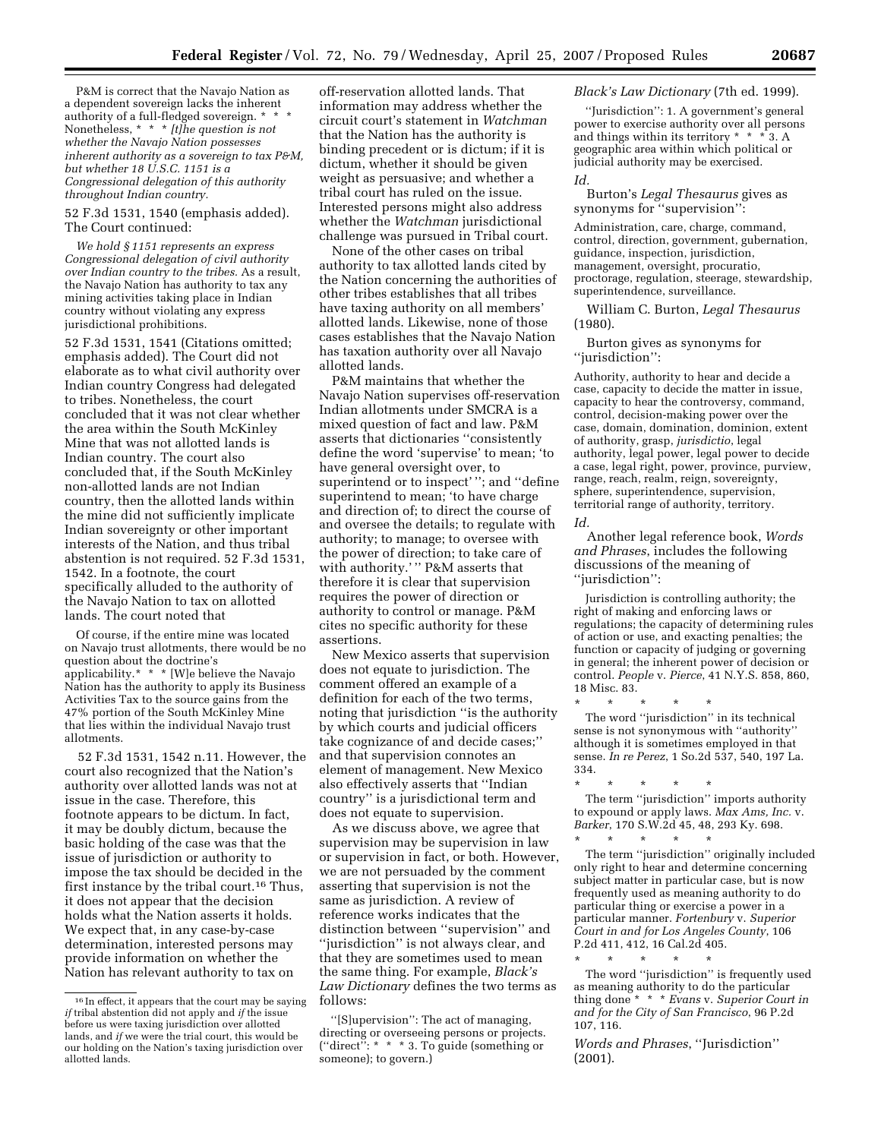P&M is correct that the Navajo Nation as a dependent sovereign lacks the inherent authority of a full-fledged sovereign. \* \* \* Nonetheless, \* \* \* *[t]he question is not whether the Navajo Nation possesses inherent authority as a sovereign to tax P&M, but whether 18 U.S.C. 1151 is a Congressional delegation of this authority throughout Indian country.* 

52 F.3d 1531, 1540 (emphasis added). The Court continued:

*We hold § 1151 represents an express Congressional delegation of civil authority over Indian country to the tribes.* As a result, the Navajo Nation has authority to tax any mining activities taking place in Indian country without violating any express jurisdictional prohibitions.

52 F.3d 1531, 1541 (Citations omitted; emphasis added). The Court did not elaborate as to what civil authority over Indian country Congress had delegated to tribes. Nonetheless, the court concluded that it was not clear whether the area within the South McKinley Mine that was not allotted lands is Indian country. The court also concluded that, if the South McKinley non-allotted lands are not Indian country, then the allotted lands within the mine did not sufficiently implicate Indian sovereignty or other important interests of the Nation, and thus tribal abstention is not required. 52 F.3d 1531, 1542. In a footnote, the court specifically alluded to the authority of the Navajo Nation to tax on allotted lands. The court noted that

Of course, if the entire mine was located on Navajo trust allotments, there would be no question about the doctrine's applicability.\* \* \* [W]e believe the Navajo Nation has the authority to apply its Business Activities Tax to the source gains from the 47% portion of the South McKinley Mine that lies within the individual Navajo trust allotments.

52 F.3d 1531, 1542 n.11. However, the court also recognized that the Nation's authority over allotted lands was not at issue in the case. Therefore, this footnote appears to be dictum. In fact, it may be doubly dictum, because the basic holding of the case was that the issue of jurisdiction or authority to impose the tax should be decided in the first instance by the tribal court.16 Thus, it does not appear that the decision holds what the Nation asserts it holds. We expect that, in any case-by-case determination, interested persons may provide information on whether the Nation has relevant authority to tax on

off-reservation allotted lands. That information may address whether the circuit court's statement in *Watchman*  that the Nation has the authority is binding precedent or is dictum; if it is dictum, whether it should be given weight as persuasive; and whether a tribal court has ruled on the issue. Interested persons might also address whether the *Watchman* jurisdictional challenge was pursued in Tribal court.

None of the other cases on tribal authority to tax allotted lands cited by the Nation concerning the authorities of other tribes establishes that all tribes have taxing authority on all members' allotted lands. Likewise, none of those cases establishes that the Navajo Nation has taxation authority over all Navajo allotted lands.

P&M maintains that whether the Navajo Nation supervises off-reservation Indian allotments under SMCRA is a mixed question of fact and law. P&M asserts that dictionaries ''consistently define the word 'supervise' to mean; 'to have general oversight over, to superintend or to inspect' ''; and ''define superintend to mean; 'to have charge and direction of; to direct the course of and oversee the details; to regulate with authority; to manage; to oversee with the power of direction; to take care of with authority.' '' P&M asserts that therefore it is clear that supervision requires the power of direction or authority to control or manage. P&M cites no specific authority for these assertions.

New Mexico asserts that supervision does not equate to jurisdiction. The comment offered an example of a definition for each of the two terms, noting that jurisdiction ''is the authority by which courts and judicial officers take cognizance of and decide cases;'' and that supervision connotes an element of management. New Mexico also effectively asserts that ''Indian country'' is a jurisdictional term and does not equate to supervision.

As we discuss above, we agree that supervision may be supervision in law or supervision in fact, or both. However, we are not persuaded by the comment asserting that supervision is not the same as jurisdiction. A review of reference works indicates that the distinction between ''supervision'' and ''jurisdiction'' is not always clear, and that they are sometimes used to mean the same thing. For example, *Black's Law Dictionary* defines the two terms as follows:

''[S]upervision'': The act of managing, directing or overseeing persons or projects. (''direct'': \* \* \* 3. To guide (something or someone); to govern.)

#### *Black's Law Dictionary* (7th ed. 1999).

''Jurisdiction'': 1. A government's general power to exercise authority over all persons and things within its territory  $* * * 3$ . A geographic area within which political or judicial authority may be exercised. *Id.* 

Burton's *Legal Thesaurus* gives as synonyms for "supervision":

Administration, care, charge, command, control, direction, government, gubernation, guidance, inspection, jurisdiction, management, oversight, procuratio, proctorage, regulation, steerage, stewardship, superintendence, surveillance.

William C. Burton, *Legal Thesaurus*  (1980).

Burton gives as synonyms for ''jurisdiction'':

Authority, authority to hear and decide a case, capacity to decide the matter in issue, capacity to hear the controversy, command, control, decision-making power over the case, domain, domination, dominion, extent of authority, grasp, *jurisdictio*, legal authority, legal power, legal power to decide a case, legal right, power, province, purview, range, reach, realm, reign, sovereignty, sphere, superintendence, supervision, territorial range of authority, territory.

*Id.* 

Another legal reference book, *Words and Phrases*, includes the following discussions of the meaning of ''jurisdiction'':

Jurisdiction is controlling authority; the right of making and enforcing laws or regulations; the capacity of determining rules of action or use, and exacting penalties; the function or capacity of judging or governing in general; the inherent power of decision or control. *People* v. *Pierce*, 41 N.Y.S. 858, 860, 18 Misc. 83.

\* \* \* \* \* The word ''jurisdiction'' in its technical sense is not synonymous with ''authority'' although it is sometimes employed in that sense. *In re Perez*, 1 So.2d 537, 540, 197 La. 334.

\* \* \* \* \* The term ''jurisdiction'' imports authority to expound or apply laws. *Max Ams, Inc.* v. *Barker*, 170 S.W.2d 45, 48, 293 Ky. 698.

\* \* \* \* \* The term ''jurisdiction'' originally included only right to hear and determine concerning subject matter in particular case, but is now frequently used as meaning authority to do particular thing or exercise a power in a particular manner. *Fortenbury* v. *Superior Court in and for Los Angeles County*, 106 P.2d 411, 412, 16 Cal.2d 405.

\* \* \* \* \* The word ''jurisdiction'' is frequently used as meaning authority to do the particular thing done \* \* \* *Evans* v. *Superior Court in and for the City of San Francisco*, 96 P.2d 107, 116.

*Words and Phrases*, ''Jurisdiction'' (2001).

<sup>16</sup> In effect, it appears that the court may be saying *if* tribal abstention did not apply and *if* the issue before us were taxing jurisdiction over allotted lands, and *if* we were the trial court, this would be our holding on the Nation's taxing jurisdiction over allotted lands.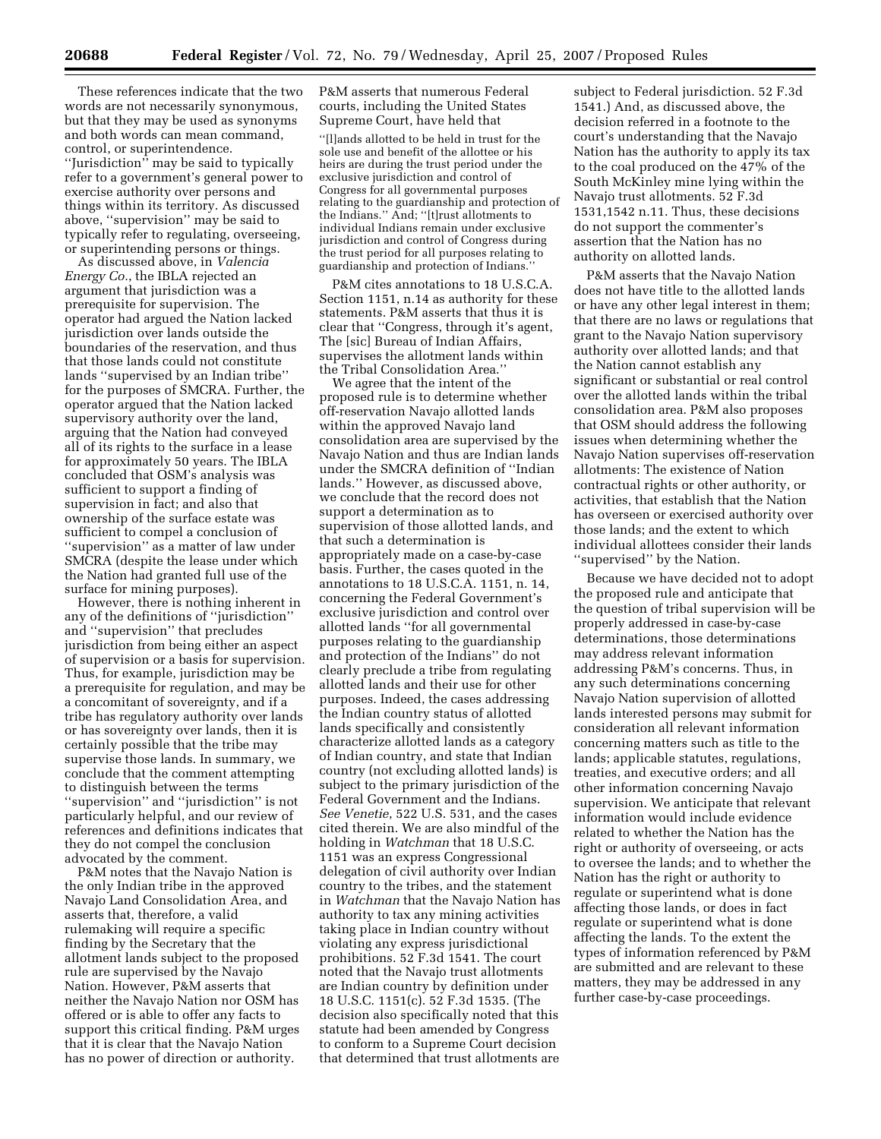These references indicate that the two words are not necessarily synonymous, but that they may be used as synonyms and both words can mean command, control, or superintendence. ''Jurisdiction'' may be said to typically refer to a government's general power to exercise authority over persons and things within its territory. As discussed above, ''supervision'' may be said to typically refer to regulating, overseeing, or superintending persons or things.

As discussed above, in *Valencia Energy Co.*, the IBLA rejected an argument that jurisdiction was a prerequisite for supervision. The operator had argued the Nation lacked jurisdiction over lands outside the boundaries of the reservation, and thus that those lands could not constitute lands ''supervised by an Indian tribe'' for the purposes of SMCRA. Further, the operator argued that the Nation lacked supervisory authority over the land, arguing that the Nation had conveyed all of its rights to the surface in a lease for approximately 50 years. The IBLA concluded that OSM's analysis was sufficient to support a finding of supervision in fact; and also that ownership of the surface estate was sufficient to compel a conclusion of ''supervision'' as a matter of law under SMCRA (despite the lease under which the Nation had granted full use of the surface for mining purposes).

However, there is nothing inherent in any of the definitions of ''jurisdiction'' and ''supervision'' that precludes jurisdiction from being either an aspect of supervision or a basis for supervision. Thus, for example, jurisdiction may be a prerequisite for regulation, and may be a concomitant of sovereignty, and if a tribe has regulatory authority over lands or has sovereignty over lands, then it is certainly possible that the tribe may supervise those lands. In summary, we conclude that the comment attempting to distinguish between the terms ''supervision'' and ''jurisdiction'' is not particularly helpful, and our review of references and definitions indicates that they do not compel the conclusion advocated by the comment.

P&M notes that the Navajo Nation is the only Indian tribe in the approved Navajo Land Consolidation Area, and asserts that, therefore, a valid rulemaking will require a specific finding by the Secretary that the allotment lands subject to the proposed rule are supervised by the Navajo Nation. However, P&M asserts that neither the Navajo Nation nor OSM has offered or is able to offer any facts to support this critical finding. P&M urges that it is clear that the Navajo Nation has no power of direction or authority.

P&M asserts that numerous Federal courts, including the United States Supreme Court, have held that

''[l]ands allotted to be held in trust for the sole use and benefit of the allottee or his heirs are during the trust period under the exclusive jurisdiction and control of Congress for all governmental purposes relating to the guardianship and protection of the Indians.'' And; ''[t]rust allotments to individual Indians remain under exclusive jurisdiction and control of Congress during the trust period for all purposes relating to guardianship and protection of Indians.''

P&M cites annotations to 18 U.S.C.A. Section 1151, n.14 as authority for these statements. P&M asserts that thus it is clear that ''Congress, through it's agent, The [sic] Bureau of Indian Affairs, supervises the allotment lands within the Tribal Consolidation Area.''

We agree that the intent of the proposed rule is to determine whether off-reservation Navajo allotted lands within the approved Navajo land consolidation area are supervised by the Navajo Nation and thus are Indian lands under the SMCRA definition of ''Indian lands.'' However, as discussed above, we conclude that the record does not support a determination as to supervision of those allotted lands, and that such a determination is appropriately made on a case-by-case basis. Further, the cases quoted in the annotations to 18 U.S.C.A. 1151, n. 14, concerning the Federal Government's exclusive jurisdiction and control over allotted lands ''for all governmental purposes relating to the guardianship and protection of the Indians'' do not clearly preclude a tribe from regulating allotted lands and their use for other purposes. Indeed, the cases addressing the Indian country status of allotted lands specifically and consistently characterize allotted lands as a category of Indian country, and state that Indian country (not excluding allotted lands) is subject to the primary jurisdiction of the Federal Government and the Indians. *See Venetie*, 522 U.S. 531, and the cases cited therein. We are also mindful of the holding in *Watchman* that 18 U.S.C. 1151 was an express Congressional delegation of civil authority over Indian country to the tribes, and the statement in *Watchman* that the Navajo Nation has authority to tax any mining activities taking place in Indian country without violating any express jurisdictional prohibitions. 52 F.3d 1541. The court noted that the Navajo trust allotments are Indian country by definition under 18 U.S.C. 1151(c). 52 F.3d 1535. (The decision also specifically noted that this statute had been amended by Congress to conform to a Supreme Court decision that determined that trust allotments are

subject to Federal jurisdiction. 52 F.3d 1541.) And, as discussed above, the decision referred in a footnote to the court's understanding that the Navajo Nation has the authority to apply its tax to the coal produced on the 47% of the South McKinley mine lying within the Navajo trust allotments. 52 F.3d 1531,1542 n.11. Thus, these decisions do not support the commenter's assertion that the Nation has no authority on allotted lands.

P&M asserts that the Navajo Nation does not have title to the allotted lands or have any other legal interest in them; that there are no laws or regulations that grant to the Navajo Nation supervisory authority over allotted lands; and that the Nation cannot establish any significant or substantial or real control over the allotted lands within the tribal consolidation area. P&M also proposes that OSM should address the following issues when determining whether the Navajo Nation supervises off-reservation allotments: The existence of Nation contractual rights or other authority, or activities, that establish that the Nation has overseen or exercised authority over those lands; and the extent to which individual allottees consider their lands "supervised" by the Nation.

Because we have decided not to adopt the proposed rule and anticipate that the question of tribal supervision will be properly addressed in case-by-case determinations, those determinations may address relevant information addressing P&M's concerns. Thus, in any such determinations concerning Navajo Nation supervision of allotted lands interested persons may submit for consideration all relevant information concerning matters such as title to the lands; applicable statutes, regulations, treaties, and executive orders; and all other information concerning Navajo supervision. We anticipate that relevant information would include evidence related to whether the Nation has the right or authority of overseeing, or acts to oversee the lands; and to whether the Nation has the right or authority to regulate or superintend what is done affecting those lands, or does in fact regulate or superintend what is done affecting the lands. To the extent the types of information referenced by P&M are submitted and are relevant to these matters, they may be addressed in any further case-by-case proceedings.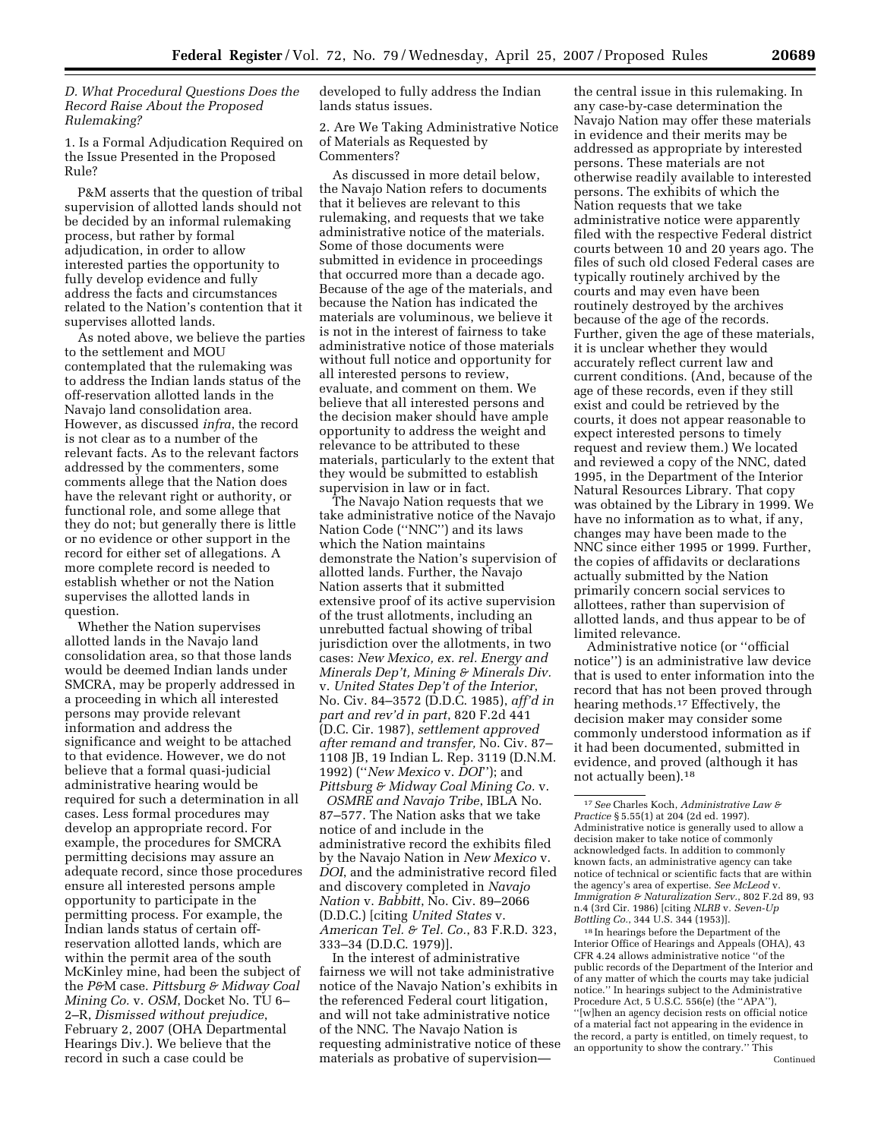*D. What Procedural Questions Does the Record Raise About the Proposed Rulemaking?* 

1. Is a Formal Adjudication Required on the Issue Presented in the Proposed Rule?

P&M asserts that the question of tribal supervision of allotted lands should not be decided by an informal rulemaking process, but rather by formal adjudication, in order to allow interested parties the opportunity to fully develop evidence and fully address the facts and circumstances related to the Nation's contention that it supervises allotted lands.

As noted above, we believe the parties to the settlement and MOU contemplated that the rulemaking was to address the Indian lands status of the off-reservation allotted lands in the Navajo land consolidation area. However, as discussed *infra*, the record is not clear as to a number of the relevant facts. As to the relevant factors addressed by the commenters, some comments allege that the Nation does have the relevant right or authority, or functional role, and some allege that they do not; but generally there is little or no evidence or other support in the record for either set of allegations. A more complete record is needed to establish whether or not the Nation supervises the allotted lands in question.

Whether the Nation supervises allotted lands in the Navajo land consolidation area, so that those lands would be deemed Indian lands under SMCRA, may be properly addressed in a proceeding in which all interested persons may provide relevant information and address the significance and weight to be attached to that evidence. However, we do not believe that a formal quasi-judicial administrative hearing would be required for such a determination in all cases. Less formal procedures may develop an appropriate record. For example, the procedures for SMCRA permitting decisions may assure an adequate record, since those procedures ensure all interested persons ample opportunity to participate in the permitting process. For example, the Indian lands status of certain offreservation allotted lands, which are within the permit area of the south McKinley mine, had been the subject of the *P&*M case. *Pittsburg & Midway Coal Mining Co.* v. *OSM*, Docket No. TU 6– 2–R, *Dismissed without prejudice*, February 2, 2007 (OHA Departmental Hearings Div.). We believe that the record in such a case could be

developed to fully address the Indian lands status issues.

2. Are We Taking Administrative Notice of Materials as Requested by Commenters?

As discussed in more detail below, the Navajo Nation refers to documents that it believes are relevant to this rulemaking, and requests that we take administrative notice of the materials. Some of those documents were submitted in evidence in proceedings that occurred more than a decade ago. Because of the age of the materials, and because the Nation has indicated the materials are voluminous, we believe it is not in the interest of fairness to take administrative notice of those materials without full notice and opportunity for all interested persons to review, evaluate, and comment on them. We believe that all interested persons and the decision maker should have ample opportunity to address the weight and relevance to be attributed to these materials, particularly to the extent that they would be submitted to establish supervision in law or in fact.

The Navajo Nation requests that we take administrative notice of the Navajo Nation Code (''NNC'') and its laws which the Nation maintains demonstrate the Nation's supervision of allotted lands. Further, the Navajo Nation asserts that it submitted extensive proof of its active supervision of the trust allotments, including an unrebutted factual showing of tribal jurisdiction over the allotments, in two cases: *New Mexico, ex. rel. Energy and Minerals Dep't, Mining & Minerals Div.*  v. *United States Dep't of the Interior*, No. Civ. 84–3572 (D.D.C. 1985), *aff'd in part and rev'd in part*, 820 F.2d 441 (D.C. Cir. 1987), *settlement approved after remand and transfer,* No. Civ. 87– 1108 JB, 19 Indian L. Rep. 3119 (D.N.M. 1992) (''*New Mexico* v. *DOI*''); and *Pittsburg & Midway Coal Mining Co.* v.

*OSMRE and Navajo Tribe*, IBLA No. 87–577. The Nation asks that we take notice of and include in the administrative record the exhibits filed by the Navajo Nation in *New Mexico* v. *DOI*, and the administrative record filed and discovery completed in *Navajo Nation* v. *Babbitt*, No. Civ. 89–2066 (D.D.C.) [citing *United States* v. *American Tel. & Tel. Co.*, 83 F.R.D. 323, 333–34 (D.D.C. 1979)].

In the interest of administrative fairness we will not take administrative notice of the Navajo Nation's exhibits in the referenced Federal court litigation, and will not take administrative notice of the NNC. The Navajo Nation is requesting administrative notice of these materials as probative of supervision—

the central issue in this rulemaking. In any case-by-case determination the Navajo Nation may offer these materials in evidence and their merits may be addressed as appropriate by interested persons. These materials are not otherwise readily available to interested persons. The exhibits of which the Nation requests that we take administrative notice were apparently filed with the respective Federal district courts between 10 and 20 years ago. The files of such old closed Federal cases are typically routinely archived by the courts and may even have been routinely destroyed by the archives because of the age of the records. Further, given the age of these materials, it is unclear whether they would accurately reflect current law and current conditions. (And, because of the age of these records, even if they still exist and could be retrieved by the courts, it does not appear reasonable to expect interested persons to timely request and review them.) We located and reviewed a copy of the NNC, dated 1995, in the Department of the Interior Natural Resources Library. That copy was obtained by the Library in 1999. We have no information as to what, if any, changes may have been made to the NNC since either 1995 or 1999. Further, the copies of affidavits or declarations actually submitted by the Nation primarily concern social services to allottees, rather than supervision of allotted lands, and thus appear to be of limited relevance.

Administrative notice (or ''official notice'') is an administrative law device that is used to enter information into the record that has not been proved through hearing methods.17 Effectively, the decision maker may consider some commonly understood information as if it had been documented, submitted in evidence, and proved (although it has not actually been).18

18 In hearings before the Department of the Interior Office of Hearings and Appeals (OHA), 43 CFR 4.24 allows administrative notice ''of the public records of the Department of the Interior and of any matter of which the courts may take judicial notice.'' In hearings subject to the Administrative Procedure Act, 5 U.S.C. 556(e) (the ''APA''), ''[w]hen an agency decision rests on official notice of a material fact not appearing in the evidence in the record, a party is entitled, on timely request, to an opportunity to show the contrary.'' This Continued

<sup>17</sup>*See* Charles Koch, *Administrative Law & Practice* § 5.55(1) at 204 (2d ed. 1997). Administrative notice is generally used to allow a decision maker to take notice of commonly acknowledged facts. In addition to commonly known facts, an administrative agency can take notice of technical or scientific facts that are within the agency's area of expertise. *See McLeod* v. *Immigration & Naturalization Serv.*, 802 F.2d 89, 93 n.4 (3rd Cir. 1986) [citing *NLRB* v. *Seven-Up Bottling Co.*, 344 U.S. 344 (1953)].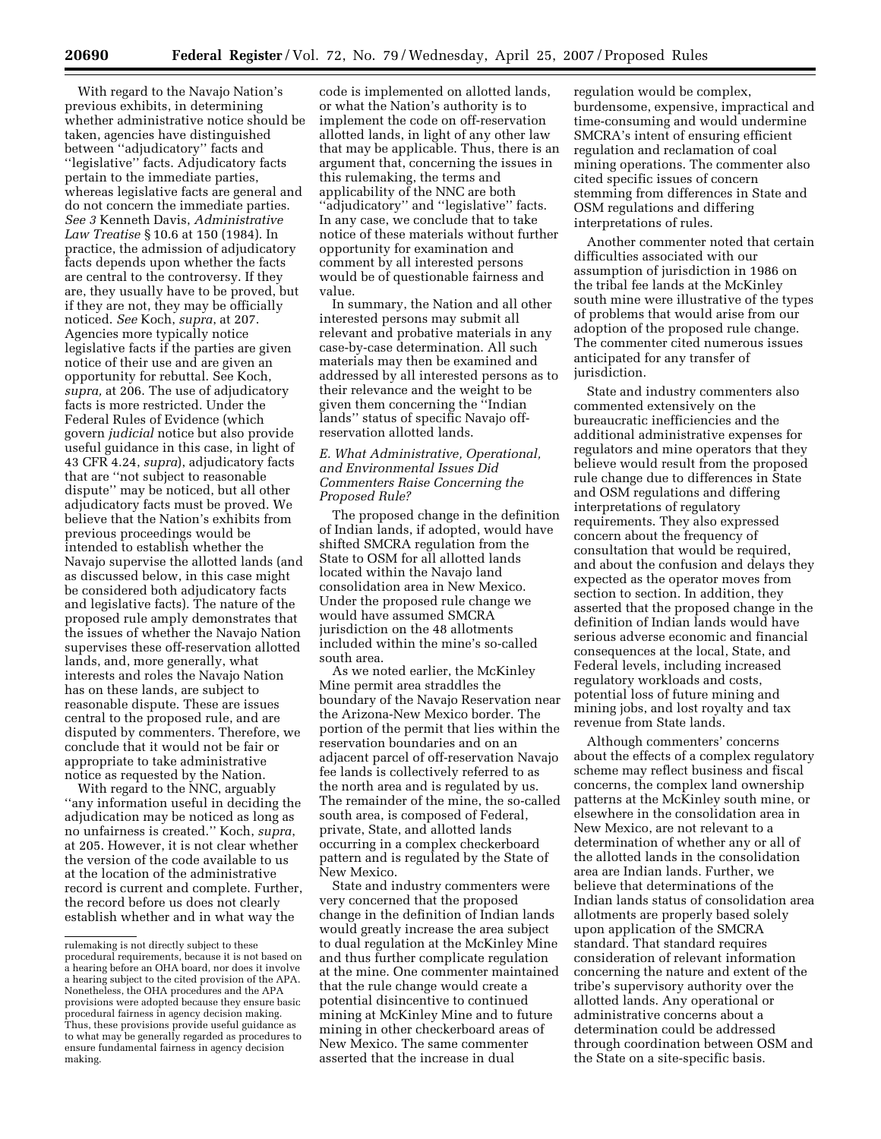With regard to the Navajo Nation's previous exhibits, in determining whether administrative notice should be taken, agencies have distinguished between ''adjudicatory'' facts and ''legislative'' facts. Adjudicatory facts pertain to the immediate parties, whereas legislative facts are general and do not concern the immediate parties. *See 3* Kenneth Davis, *Administrative Law Treatise* § 10.6 at 150 (1984). In practice, the admission of adjudicatory facts depends upon whether the facts are central to the controversy. If they are, they usually have to be proved, but if they are not, they may be officially noticed. *See* Koch, *supra*, at 207. Agencies more typically notice legislative facts if the parties are given notice of their use and are given an opportunity for rebuttal. See Koch, *supra,* at 206. The use of adjudicatory facts is more restricted. Under the Federal Rules of Evidence (which govern *judicial* notice but also provide useful guidance in this case, in light of 43 CFR 4.24, *supra*), adjudicatory facts that are ''not subject to reasonable dispute'' may be noticed, but all other adjudicatory facts must be proved. We believe that the Nation's exhibits from previous proceedings would be intended to establish whether the Navajo supervise the allotted lands (and as discussed below, in this case might be considered both adjudicatory facts and legislative facts). The nature of the proposed rule amply demonstrates that the issues of whether the Navajo Nation supervises these off-reservation allotted lands, and, more generally, what interests and roles the Navajo Nation has on these lands, are subject to reasonable dispute. These are issues central to the proposed rule, and are disputed by commenters. Therefore, we conclude that it would not be fair or appropriate to take administrative notice as requested by the Nation.

With regard to the NNC, arguably ''any information useful in deciding the adjudication may be noticed as long as no unfairness is created.'' Koch, *supra*, at 205. However, it is not clear whether the version of the code available to us at the location of the administrative record is current and complete. Further, the record before us does not clearly establish whether and in what way the

code is implemented on allotted lands, or what the Nation's authority is to implement the code on off-reservation allotted lands, in light of any other law that may be applicable. Thus, there is an argument that, concerning the issues in this rulemaking, the terms and applicability of the NNC are both "adjudicatory" and "legislative" facts. In any case, we conclude that to take notice of these materials without further opportunity for examination and comment by all interested persons would be of questionable fairness and value.

In summary, the Nation and all other interested persons may submit all relevant and probative materials in any case-by-case determination. All such materials may then be examined and addressed by all interested persons as to their relevance and the weight to be given them concerning the ''Indian lands'' status of specific Navajo offreservation allotted lands.

### *E. What Administrative, Operational, and Environmental Issues Did Commenters Raise Concerning the Proposed Rule?*

The proposed change in the definition of Indian lands, if adopted, would have shifted SMCRA regulation from the State to OSM for all allotted lands located within the Navajo land consolidation area in New Mexico. Under the proposed rule change we would have assumed SMCRA jurisdiction on the 48 allotments included within the mine's so-called south area.

As we noted earlier, the McKinley Mine permit area straddles the boundary of the Navajo Reservation near the Arizona-New Mexico border. The portion of the permit that lies within the reservation boundaries and on an adjacent parcel of off-reservation Navajo fee lands is collectively referred to as the north area and is regulated by us. The remainder of the mine, the so-called south area, is composed of Federal, private, State, and allotted lands occurring in a complex checkerboard pattern and is regulated by the State of New Mexico.

State and industry commenters were very concerned that the proposed change in the definition of Indian lands would greatly increase the area subject to dual regulation at the McKinley Mine and thus further complicate regulation at the mine. One commenter maintained that the rule change would create a potential disincentive to continued mining at McKinley Mine and to future mining in other checkerboard areas of New Mexico. The same commenter asserted that the increase in dual

regulation would be complex, burdensome, expensive, impractical and time-consuming and would undermine SMCRA's intent of ensuring efficient regulation and reclamation of coal mining operations. The commenter also cited specific issues of concern stemming from differences in State and OSM regulations and differing interpretations of rules.

Another commenter noted that certain difficulties associated with our assumption of jurisdiction in 1986 on the tribal fee lands at the McKinley south mine were illustrative of the types of problems that would arise from our adoption of the proposed rule change. The commenter cited numerous issues anticipated for any transfer of jurisdiction.

State and industry commenters also commented extensively on the bureaucratic inefficiencies and the additional administrative expenses for regulators and mine operators that they believe would result from the proposed rule change due to differences in State and OSM regulations and differing interpretations of regulatory requirements. They also expressed concern about the frequency of consultation that would be required, and about the confusion and delays they expected as the operator moves from section to section. In addition, they asserted that the proposed change in the definition of Indian lands would have serious adverse economic and financial consequences at the local, State, and Federal levels, including increased regulatory workloads and costs, potential loss of future mining and mining jobs, and lost royalty and tax revenue from State lands.

Although commenters' concerns about the effects of a complex regulatory scheme may reflect business and fiscal concerns, the complex land ownership patterns at the McKinley south mine, or elsewhere in the consolidation area in New Mexico, are not relevant to a determination of whether any or all of the allotted lands in the consolidation area are Indian lands. Further, we believe that determinations of the Indian lands status of consolidation area allotments are properly based solely upon application of the SMCRA standard. That standard requires consideration of relevant information concerning the nature and extent of the tribe's supervisory authority over the allotted lands. Any operational or administrative concerns about a determination could be addressed through coordination between OSM and the State on a site-specific basis.

rulemaking is not directly subject to these procedural requirements, because it is not based on a hearing before an OHA board, nor does it involve a hearing subject to the cited provision of the APA. Nonetheless, the OHA procedures and the APA provisions were adopted because they ensure basic procedural fairness in agency decision making. Thus, these provisions provide useful guidance as to what may be generally regarded as procedures to ensure fundamental fairness in agency decision making.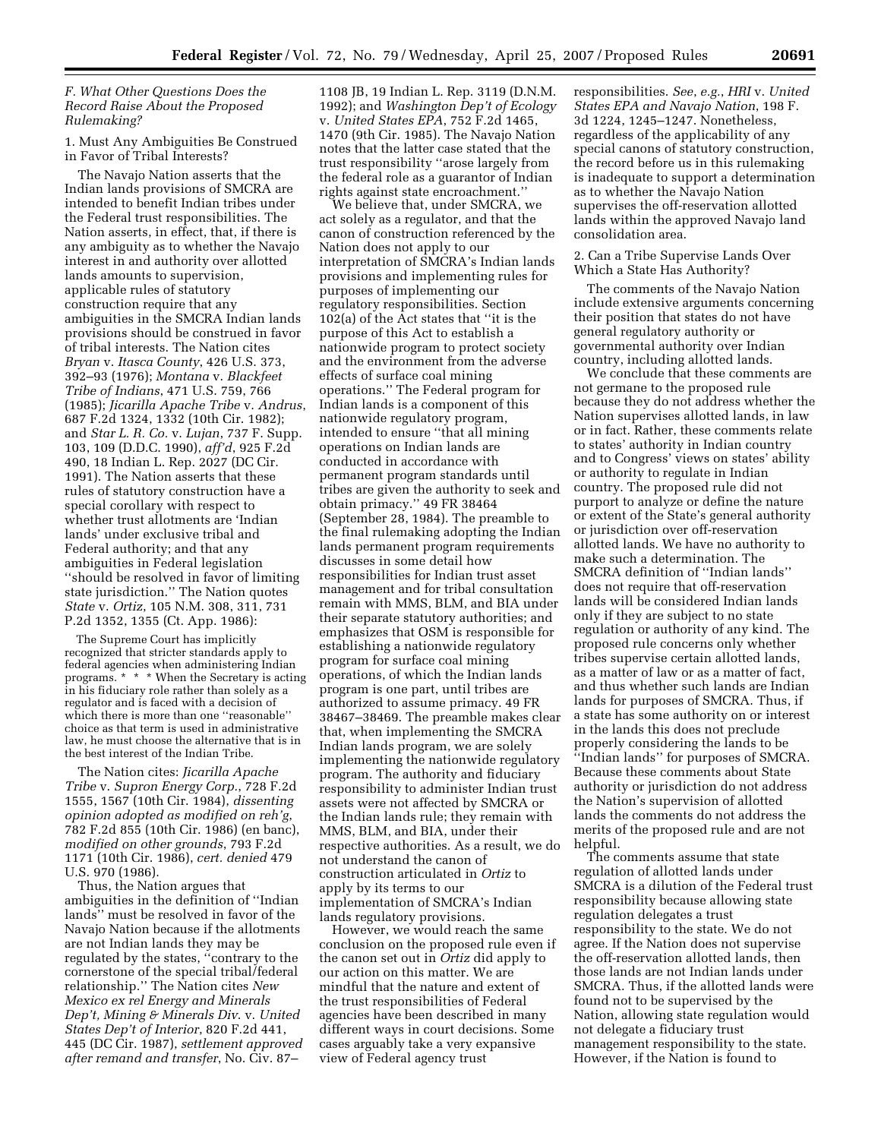*F. What Other Questions Does the Record Raise About the Proposed Rulemaking?* 

# 1. Must Any Ambiguities Be Construed in Favor of Tribal Interests?

The Navajo Nation asserts that the Indian lands provisions of SMCRA are intended to benefit Indian tribes under the Federal trust responsibilities. The Nation asserts, in effect, that, if there is any ambiguity as to whether the Navajo interest in and authority over allotted lands amounts to supervision, applicable rules of statutory construction require that any ambiguities in the SMCRA Indian lands provisions should be construed in favor of tribal interests. The Nation cites *Bryan* v. *Itasca County*, 426 U.S. 373, 392–93 (1976); *Montana* v. *Blackfeet Tribe of Indians*, 471 U.S. 759, 766 (1985); *Jicarilla Apache Tribe* v. *Andrus*, 687 F.2d 1324, 1332 (10th Cir. 1982); and *Star L. R. Co.* v. *Lujan*, 737 F. Supp. 103, 109 (D.D.C. 1990), *aff'd*, 925 F.2d 490, 18 Indian L. Rep. 2027 (DC Cir. 1991). The Nation asserts that these rules of statutory construction have a special corollary with respect to whether trust allotments are 'Indian lands' under exclusive tribal and Federal authority; and that any ambiguities in Federal legislation ''should be resolved in favor of limiting state jurisdiction.'' The Nation quotes *State* v. *Ortiz*, 105 N.M. 308, 311, 731 P.2d 1352, 1355 (Ct. App. 1986):

The Supreme Court has implicitly recognized that stricter standards apply to federal agencies when administering Indian programs. \* \* \* When the Secretary is acting in his fiduciary role rather than solely as a regulator and is faced with a decision of which there is more than one ''reasonable'' choice as that term is used in administrative law, he must choose the alternative that is in the best interest of the Indian Tribe.

The Nation cites: *Jicarilla Apache Tribe* v. *Supron Energy Corp.*, 728 F.2d 1555, 1567 (10th Cir. 1984), *dissenting opinion adopted as modified on reh'g*, 782 F.2d 855 (10th Cir. 1986) (en banc), *modified on other grounds*, 793 F.2d 1171 (10th Cir. 1986), *cert. denied* 479 U.S. 970 (1986).

Thus, the Nation argues that ambiguities in the definition of ''Indian lands'' must be resolved in favor of the Navajo Nation because if the allotments are not Indian lands they may be regulated by the states, ''contrary to the cornerstone of the special tribal/federal relationship.'' The Nation cites *New Mexico ex rel Energy and Minerals Dep't, Mining & Minerals Div*. v. *United States Dep't of Interior*, 820 F.2d 441, 445 (DC Cir. 1987), *settlement approved after remand and transfer*, No. Civ. 87–

1108 JB, 19 Indian L. Rep. 3119 (D.N.M. 1992); and *Washington Dep't of Ecology*  v. *United States EPA*, 752 F.2d 1465, 1470 (9th Cir. 1985). The Navajo Nation notes that the latter case stated that the trust responsibility ''arose largely from the federal role as a guarantor of Indian rights against state encroachment.''

We believe that, under SMCRA, we act solely as a regulator, and that the canon of construction referenced by the Nation does not apply to our interpretation of SMCRA's Indian lands provisions and implementing rules for purposes of implementing our regulatory responsibilities. Section 102(a) of the Act states that ''it is the purpose of this Act to establish a nationwide program to protect society and the environment from the adverse effects of surface coal mining operations.'' The Federal program for Indian lands is a component of this nationwide regulatory program, intended to ensure ''that all mining operations on Indian lands are conducted in accordance with permanent program standards until tribes are given the authority to seek and obtain primacy.'' 49 FR 38464 (September 28, 1984). The preamble to the final rulemaking adopting the Indian lands permanent program requirements discusses in some detail how responsibilities for Indian trust asset management and for tribal consultation remain with MMS, BLM, and BIA under their separate statutory authorities; and emphasizes that OSM is responsible for establishing a nationwide regulatory program for surface coal mining operations, of which the Indian lands program is one part, until tribes are authorized to assume primacy. 49 FR 38467–38469. The preamble makes clear that, when implementing the SMCRA Indian lands program, we are solely implementing the nationwide regulatory program. The authority and fiduciary responsibility to administer Indian trust assets were not affected by SMCRA or the Indian lands rule; they remain with MMS, BLM, and BIA, under their respective authorities. As a result, we do not understand the canon of construction articulated in *Ortiz* to apply by its terms to our implementation of SMCRA's Indian lands regulatory provisions.

However, we would reach the same conclusion on the proposed rule even if the canon set out in *Ortiz* did apply to our action on this matter. We are mindful that the nature and extent of the trust responsibilities of Federal agencies have been described in many different ways in court decisions. Some cases arguably take a very expansive view of Federal agency trust

responsibilities. *See*, *e.g.*, *HRI* v. *United States EPA and Navajo Nation*, 198 F. 3d 1224, 1245–1247. Nonetheless, regardless of the applicability of any special canons of statutory construction, the record before us in this rulemaking is inadequate to support a determination as to whether the Navajo Nation supervises the off-reservation allotted lands within the approved Navajo land consolidation area.

# 2. Can a Tribe Supervise Lands Over Which a State Has Authority?

The comments of the Navajo Nation include extensive arguments concerning their position that states do not have general regulatory authority or governmental authority over Indian country, including allotted lands.

We conclude that these comments are not germane to the proposed rule because they do not address whether the Nation supervises allotted lands, in law or in fact. Rather, these comments relate to states' authority in Indian country and to Congress' views on states' ability or authority to regulate in Indian country. The proposed rule did not purport to analyze or define the nature or extent of the State's general authority or jurisdiction over off-reservation allotted lands. We have no authority to make such a determination. The SMCRA definition of ''Indian lands'' does not require that off-reservation lands will be considered Indian lands only if they are subject to no state regulation or authority of any kind. The proposed rule concerns only whether tribes supervise certain allotted lands, as a matter of law or as a matter of fact, and thus whether such lands are Indian lands for purposes of SMCRA. Thus, if a state has some authority on or interest in the lands this does not preclude properly considering the lands to be ''Indian lands'' for purposes of SMCRA. Because these comments about State authority or jurisdiction do not address the Nation's supervision of allotted lands the comments do not address the merits of the proposed rule and are not helpful.

The comments assume that state regulation of allotted lands under SMCRA is a dilution of the Federal trust responsibility because allowing state regulation delegates a trust responsibility to the state. We do not agree. If the Nation does not supervise the off-reservation allotted lands, then those lands are not Indian lands under SMCRA. Thus, if the allotted lands were found not to be supervised by the Nation, allowing state regulation would not delegate a fiduciary trust management responsibility to the state. However, if the Nation is found to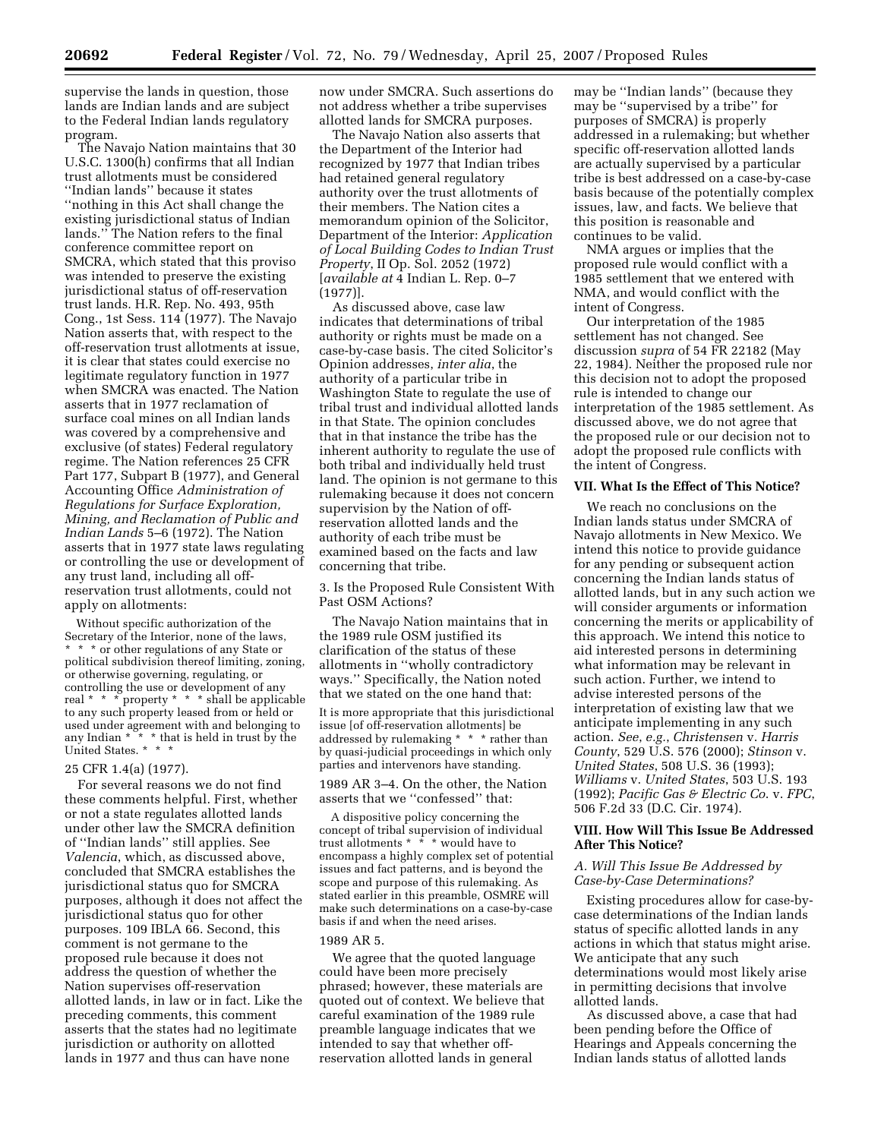supervise the lands in question, those lands are Indian lands and are subject to the Federal Indian lands regulatory program.

The Navajo Nation maintains that 30 U.S.C. 1300(h) confirms that all Indian trust allotments must be considered ''Indian lands'' because it states ''nothing in this Act shall change the existing jurisdictional status of Indian lands." The Nation refers to the final conference committee report on SMCRA, which stated that this proviso was intended to preserve the existing jurisdictional status of off-reservation trust lands. H.R. Rep. No. 493, 95th Cong., 1st Sess. 114 (1977). The Navajo Nation asserts that, with respect to the off-reservation trust allotments at issue, it is clear that states could exercise no legitimate regulatory function in 1977 when SMCRA was enacted. The Nation asserts that in 1977 reclamation of surface coal mines on all Indian lands was covered by a comprehensive and exclusive (of states) Federal regulatory regime. The Nation references 25 CFR Part 177, Subpart B (1977), and General Accounting Office *Administration of Regulations for Surface Exploration, Mining, and Reclamation of Public and Indian Lands* 5–6 (1972). The Nation asserts that in 1977 state laws regulating or controlling the use or development of any trust land, including all offreservation trust allotments, could not apply on allotments:

Without specific authorization of the Secretary of the Interior, none of the laws, \* \* \* or other regulations of any State or political subdivision thereof limiting, zoning, or otherwise governing, regulating, or controlling the use or development of any real \* \* \* property \* \* \* shall be applicable to any such property leased from or held or used under agreement with and belonging to any Indian \*  $\tilde{\ }$  \* that is held in trust by the United States. \* \*

#### 25 CFR 1.4(a) (1977).

For several reasons we do not find these comments helpful. First, whether or not a state regulates allotted lands under other law the SMCRA definition of ''Indian lands'' still applies. See *Valencia*, which, as discussed above, concluded that SMCRA establishes the jurisdictional status quo for SMCRA purposes, although it does not affect the jurisdictional status quo for other purposes. 109 IBLA 66. Second, this comment is not germane to the proposed rule because it does not address the question of whether the Nation supervises off-reservation allotted lands, in law or in fact. Like the preceding comments, this comment asserts that the states had no legitimate jurisdiction or authority on allotted lands in 1977 and thus can have none

now under SMCRA. Such assertions do not address whether a tribe supervises allotted lands for SMCRA purposes.

The Navajo Nation also asserts that the Department of the Interior had recognized by 1977 that Indian tribes had retained general regulatory authority over the trust allotments of their members. The Nation cites a memorandum opinion of the Solicitor, Department of the Interior: *Application of Local Building Codes to Indian Trust Property*, II Op. Sol. 2052 (1972) [*available at* 4 Indian L. Rep. 0–7 (1977)].

As discussed above, case law indicates that determinations of tribal authority or rights must be made on a case-by-case basis. The cited Solicitor's Opinion addresses, *inter alia*, the authority of a particular tribe in Washington State to regulate the use of tribal trust and individual allotted lands in that State. The opinion concludes that in that instance the tribe has the inherent authority to regulate the use of both tribal and individually held trust land. The opinion is not germane to this rulemaking because it does not concern supervision by the Nation of offreservation allotted lands and the authority of each tribe must be examined based on the facts and law concerning that tribe.

3. Is the Proposed Rule Consistent With Past OSM Actions?

The Navajo Nation maintains that in the 1989 rule OSM justified its clarification of the status of these allotments in ''wholly contradictory ways.'' Specifically, the Nation noted that we stated on the one hand that:

It is more appropriate that this jurisdictional issue [of off-reservation allotments] be addressed by rulemaking \* \* \* rather than by quasi-judicial proceedings in which only parties and intervenors have standing.

1989 AR 3–4. On the other, the Nation asserts that we ''confessed'' that:

A dispositive policy concerning the concept of tribal supervision of individual trust allotments \* \* \* would have to encompass a highly complex set of potential issues and fact patterns, and is beyond the scope and purpose of this rulemaking. As stated earlier in this preamble, OSMRE will make such determinations on a case-by-case basis if and when the need arises.

#### 1989 AR 5.

We agree that the quoted language could have been more precisely phrased; however, these materials are quoted out of context. We believe that careful examination of the 1989 rule preamble language indicates that we intended to say that whether offreservation allotted lands in general

may be ''Indian lands'' (because they may be ''supervised by a tribe'' for purposes of SMCRA) is properly addressed in a rulemaking; but whether specific off-reservation allotted lands are actually supervised by a particular tribe is best addressed on a case-by-case basis because of the potentially complex issues, law, and facts. We believe that this position is reasonable and continues to be valid.

NMA argues or implies that the proposed rule would conflict with a 1985 settlement that we entered with NMA, and would conflict with the intent of Congress.

Our interpretation of the 1985 settlement has not changed. See discussion *supra* of 54 FR 22182 (May 22, 1984). Neither the proposed rule nor this decision not to adopt the proposed rule is intended to change our interpretation of the 1985 settlement. As discussed above, we do not agree that the proposed rule or our decision not to adopt the proposed rule conflicts with the intent of Congress.

#### **VII. What Is the Effect of This Notice?**

We reach no conclusions on the Indian lands status under SMCRA of Navajo allotments in New Mexico. We intend this notice to provide guidance for any pending or subsequent action concerning the Indian lands status of allotted lands, but in any such action we will consider arguments or information concerning the merits or applicability of this approach. We intend this notice to aid interested persons in determining what information may be relevant in such action. Further, we intend to advise interested persons of the interpretation of existing law that we anticipate implementing in any such action. *See*, *e.g.*, *Christensen* v. *Harris County*, 529 U.S. 576 (2000); *Stinson* v. *United States*, 508 U.S. 36 (1993); *Williams* v. *United States*, 503 U.S. 193 (1992); *Pacific Gas & Electric Co*. v. *FPC*, 506 F.2d 33 (D.C. Cir. 1974).

### **VIII. How Will This Issue Be Addressed After This Notice?**

#### *A. Will This Issue Be Addressed by Case-by-Case Determinations?*

Existing procedures allow for case-bycase determinations of the Indian lands status of specific allotted lands in any actions in which that status might arise. We anticipate that any such determinations would most likely arise in permitting decisions that involve allotted lands.

As discussed above, a case that had been pending before the Office of Hearings and Appeals concerning the Indian lands status of allotted lands